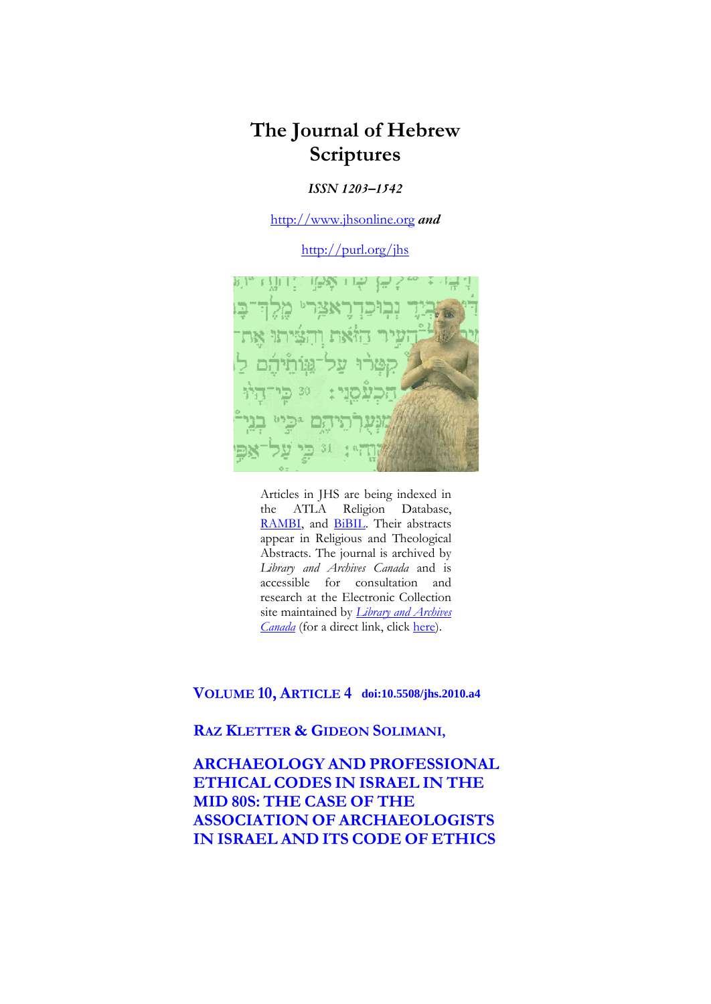# **The Journal of Hebrew Scriptures**

# *ISSN 1203–1542*

[http://www.jhsonline.org](http://www.jhsonline.org/) *and*

<http://purl.org/jhs>



Articles in JHS are being indexed in the ATLA Religion Database, [RAMBI,](http://jnul.huji.ac.il/rambi/) and **BiBIL**. Their abstracts appear in Religious and Theological Abstracts. The journal is archived by *Library and Archives Canada* and is accessible for consultation and research at the Electronic Collection site maintained by *[Library and Archives](http://collectionscanada.ca/electroniccollection/003008-200-e.html)  [Canada](http://collectionscanada.ca/electroniccollection/003008-200-e.html)* (for a direct link, click [here\)](http://epe.lac-bac.gc.ca/100/201/300/journal_hebrew/index.html).

# **VOLUME 10, ARTICLE 4 doi:10.5508/jhs.2010.a4**

**RAZ KLETTER & GIDEON SOLIMANI,**

**ARCHAEOLOGY AND PROFESSIONAL ETHICAL CODES IN ISRAEL IN THE MID 80S: THE CASE OF THE ASSOCIATION OF ARCHAEOLOGISTS IN ISRAEL AND ITS CODE OF ETHICS**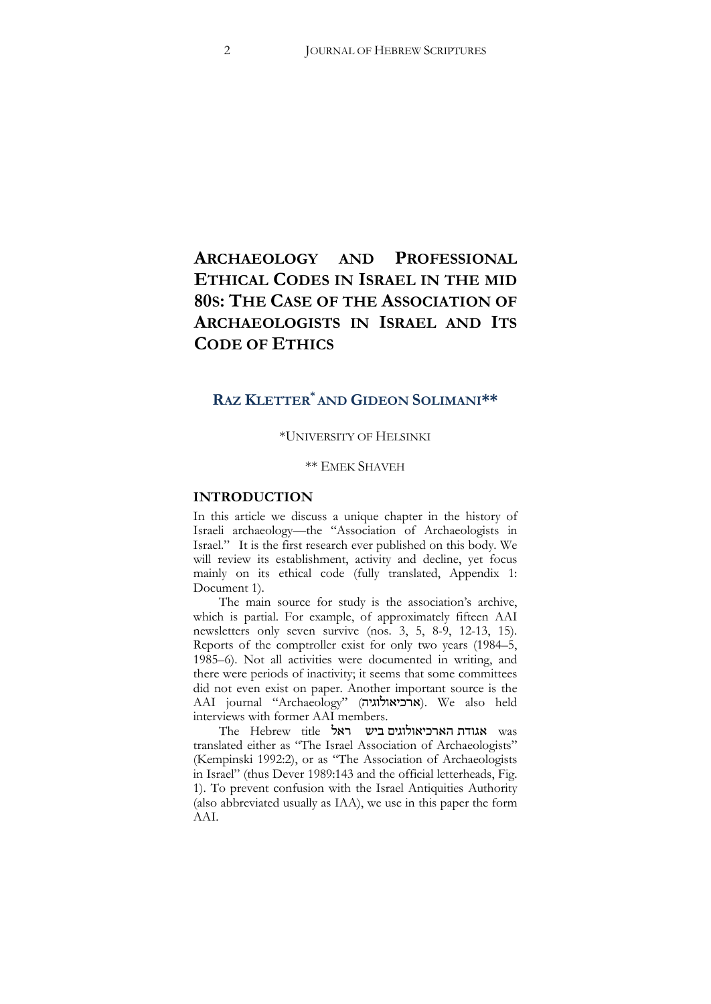# **ARCHAEOLOGY AND PROFESSIONAL ETHICAL CODES IN ISRAEL IN THE MID 80S: THE CASE OF THE ASSOCIATION OF ARCHAEOLOGISTS IN ISRAEL AND ITS CODE OF ETHICS**

# **RAZ KLETTER\* AND GIDEON SOLIMANI\*\***

## \*UNIVERSITY OF HELSINKI

## \*\* EMEK SHAVEH

## **INTRODUCTION**

In this article we discuss a unique chapter in the history of Israeli archaeology—the "Association of Archaeologists in Israel." It is the first research ever published on this body. We will review its establishment, activity and decline, yet focus mainly on its ethical code (fully translated, Appendix 1: Document 1).

The main source for study is the association's archive, which is partial. For example, of approximately fifteen AAI newsletters only seven survive (nos. 3, 5, 8-9, 12-13, 15). Reports of the comptroller exist for only two years (1984–5, 1985–6). Not all activities were documented in writing, and there were periods of inactivity; it seems that some committees did not even exist on paper. Another important source is the AAI journal "Archaeology" (ארכיאולוגיה). We also held interviews with former AAI members.

The Hebrew title אגודת הארכיאולוגים ביש ראל translated either as "The Israel Association of Archaeologists" (Kempinski 1992:2), or as "The Association of Archaeologists in Israel" (thus Dever 1989:143 and the official letterheads, Fig. 1). To prevent confusion with the Israel Antiquities Authority (also abbreviated usually as IAA), we use in this paper the form AAI.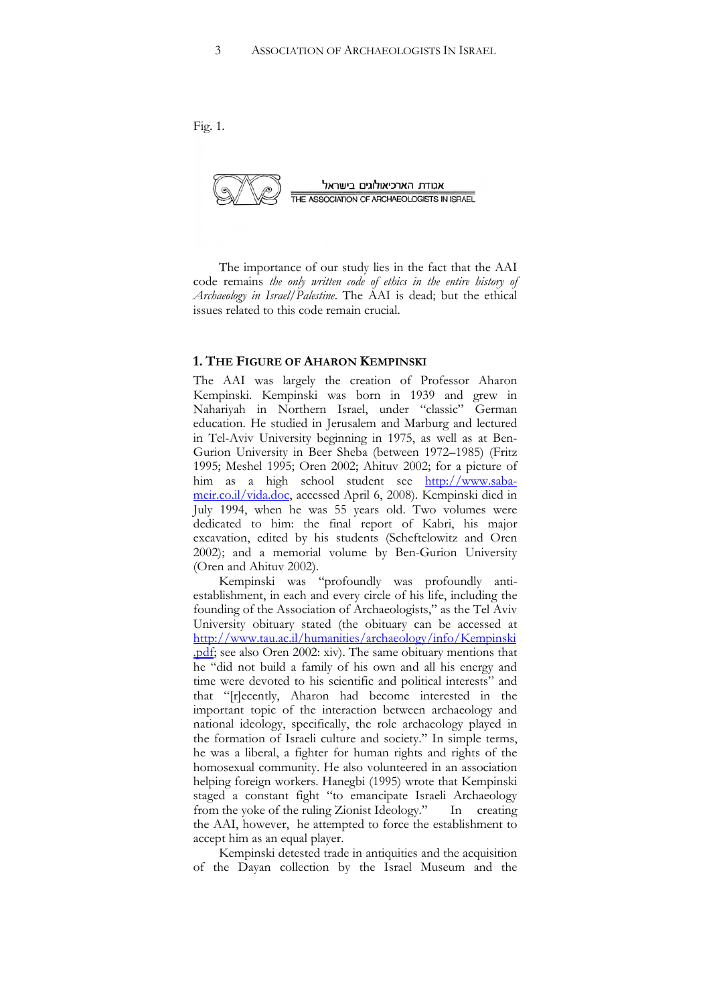Fig. 1.



The importance of our study lies in the fact that the AAI code remains *the only written code of ethics in the entire history of Archaeology in Israel/Palestine*. The AAI is dead; but the ethical issues related to this code remain crucial.

#### **1. THE FIGURE OF AHARON KEMPINSKI**

The AAI was largely the creation of Professor Aharon Kempinski. Kempinski was born in 1939 and grew in Nahariyah in Northern Israel, under "classic" German education. He studied in Jerusalem and Marburg and lectured in Tel-Aviv University beginning in 1975, as well as at Ben-Gurion University in Beer Sheba (between 1972–1985) (Fritz 1995; Meshel 1995; Oren 2002; Ahituv 2002; for a picture of him as a high school student see [http://www.saba](http://www.saba-meir.co.il/vida.doc)[meir.co.il/vida.doc,](http://www.saba-meir.co.il/vida.doc) accessed April 6, 2008). Kempinski died in July 1994, when he was 55 years old. Two volumes were dedicated to him: the final report of Kabri, his major excavation, edited by his students (Scheftelowitz and Oren 2002); and a memorial volume by Ben-Gurion University (Oren and Ahituv 2002).

Kempinski was "profoundly was profoundly antiestablishment, in each and every circle of his life, including the founding of the Association of Archaeologists," as the Tel Aviv University obituary stated (the obituary can be accessed at [http://www.tau.ac.il/humanities/archaeology/info/Kempinski](http://www.tau.ac.il/humanities/archaeology/info/Kempinski.pdf) .pdf; see also Oren 2002: xiv). The same obituary mentions that he "did not build a family of his own and all his energy and time were devoted to his scientific and political interests" and that "[r]ecently, Aharon had become interested in the important topic of the interaction between archaeology and national ideology, specifically, the role archaeology played in the formation of Israeli culture and society." In simple terms, he was a liberal, a fighter for human rights and rights of the homosexual community. He also volunteered in an association helping foreign workers. Hanegbi (1995) wrote that Kempinski staged a constant fight "to emancipate Israeli Archaeology from the yoke of the ruling Zionist Ideology." In creating the AAI, however, he attempted to force the establishment to accept him as an equal player.

Kempinski detested trade in antiquities and the acquisition of the Dayan collection by the Israel Museum and the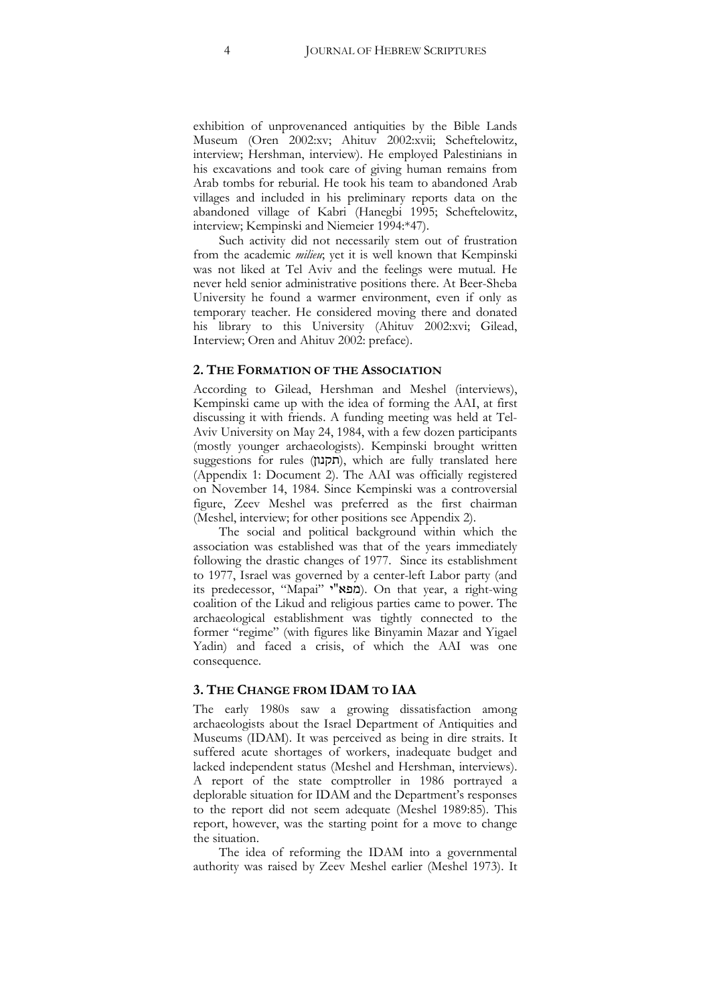exhibition of unprovenanced antiquities by the Bible Lands Museum (Oren 2002:xv; Ahituv 2002:xvii; Scheftelowitz, interview; Hershman, interview). He employed Palestinians in his excavations and took care of giving human remains from Arab tombs for reburial. He took his team to abandoned Arab villages and included in his preliminary reports data on the abandoned village of Kabri (Hanegbi 1995; Scheftelowitz, interview; Kempinski and Niemeier 1994:\*47).

Such activity did not necessarily stem out of frustration from the academic *milieu*; yet it is well known that Kempinski was not liked at Tel Aviv and the feelings were mutual. He never held senior administrative positions there. At Beer-Sheba University he found a warmer environment, even if only as temporary teacher. He considered moving there and donated his library to this University (Ahituv 2002:xvi; Gilead, Interview; Oren and Ahituv 2002: preface).

#### **2. THE FORMATION OF THE ASSOCIATION**

According to Gilead, Hershman and Meshel (interviews), Kempinski came up with the idea of forming the AAI, at first discussing it with friends. A funding meeting was held at Tel-Aviv University on May 24, 1984, with a few dozen participants (mostly younger archaeologists). Kempinski brought written suggestions for rules (חקנון), which are fully translated here (Appendix 1: Document 2). The AAI was officially registered on November 14, 1984. Since Kempinski was a controversial figure, Zeev Meshel was preferred as the first chairman (Meshel, interview; for other positions see Appendix 2).

The social and political background within which the association was established was that of the years immediately following the drastic changes of 1977. Since its establishment to 1977, Israel was governed by a center-left Labor party (and its predecessor, "Mapai" '"6/). On that year, a right-wing coalition of the Likud and religious parties came to power. The archaeological establishment was tightly connected to the former "regime" (with figures like Binyamin Mazar and Yigael Yadin) and faced a crisis, of which the AAI was one consequence.

#### **3. THE CHANGE FROM IDAM TO IAA**

The early 1980s saw a growing dissatisfaction among archaeologists about the Israel Department of Antiquities and Museums (IDAM). It was perceived as being in dire straits. It suffered acute shortages of workers, inadequate budget and lacked independent status (Meshel and Hershman, interviews). A report of the state comptroller in 1986 portrayed a deplorable situation for IDAM and the Department's responses to the report did not seem adequate (Meshel 1989:85). This report, however, was the starting point for a move to change the situation.

The idea of reforming the IDAM into a governmental authority was raised by Zeev Meshel earlier (Meshel 1973). It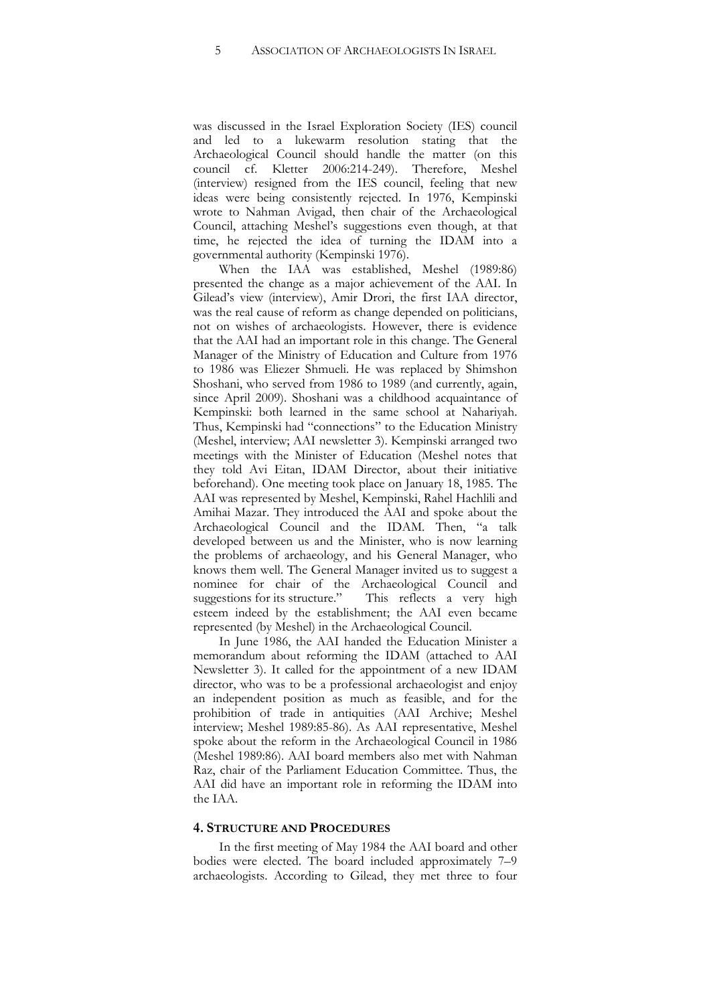was discussed in the Israel Exploration Society (IES) council and led to a lukewarm resolution stating that the Archaeological Council should handle the matter (on this council cf. Kletter 2006:214-249). Therefore, Meshel (interview) resigned from the IES council, feeling that new ideas were being consistently rejected. In 1976, Kempinski wrote to Nahman Avigad, then chair of the Archaeological Council, attaching Meshel's suggestions even though, at that time, he rejected the idea of turning the IDAM into a governmental authority (Kempinski 1976).

When the IAA was established, Meshel (1989:86) presented the change as a major achievement of the AAI. In Gilead's view (interview), Amir Drori, the first IAA director, was the real cause of reform as change depended on politicians, not on wishes of archaeologists. However, there is evidence that the AAI had an important role in this change. The General Manager of the Ministry of Education and Culture from 1976 to 1986 was Eliezer Shmueli. He was replaced by Shimshon Shoshani, who served from 1986 to 1989 (and currently, again, since April 2009). Shoshani was a childhood acquaintance of Kempinski: both learned in the same school at Nahariyah. Thus, Kempinski had "connections" to the Education Ministry (Meshel, interview; AAI newsletter 3). Kempinski arranged two meetings with the Minister of Education (Meshel notes that they told Avi Eitan, IDAM Director, about their initiative beforehand). One meeting took place on January 18, 1985. The AAI was represented by Meshel, Kempinski, Rahel Hachlili and Amihai Mazar. They introduced the AAI and spoke about the Archaeological Council and the IDAM. Then, "a talk developed between us and the Minister, who is now learning the problems of archaeology, and his General Manager, who knows them well. The General Manager invited us to suggest a nominee for chair of the Archaeological Council and suggestions for its structure." This reflects a very high esteem indeed by the establishment; the AAI even became represented (by Meshel) in the Archaeological Council.

In June 1986, the AAI handed the Education Minister a memorandum about reforming the IDAM (attached to AAI Newsletter 3). It called for the appointment of a new IDAM director, who was to be a professional archaeologist and enjoy an independent position as much as feasible, and for the prohibition of trade in antiquities (AAI Archive; Meshel interview; Meshel 1989:85-86). As AAI representative, Meshel spoke about the reform in the Archaeological Council in 1986 (Meshel 1989:86). AAI board members also met with Nahman Raz, chair of the Parliament Education Committee. Thus, the AAI did have an important role in reforming the IDAM into the IAA.

## **4. STRUCTURE AND PROCEDURES**

In the first meeting of May 1984 the AAI board and other bodies were elected. The board included approximately 7–9 archaeologists. According to Gilead, they met three to four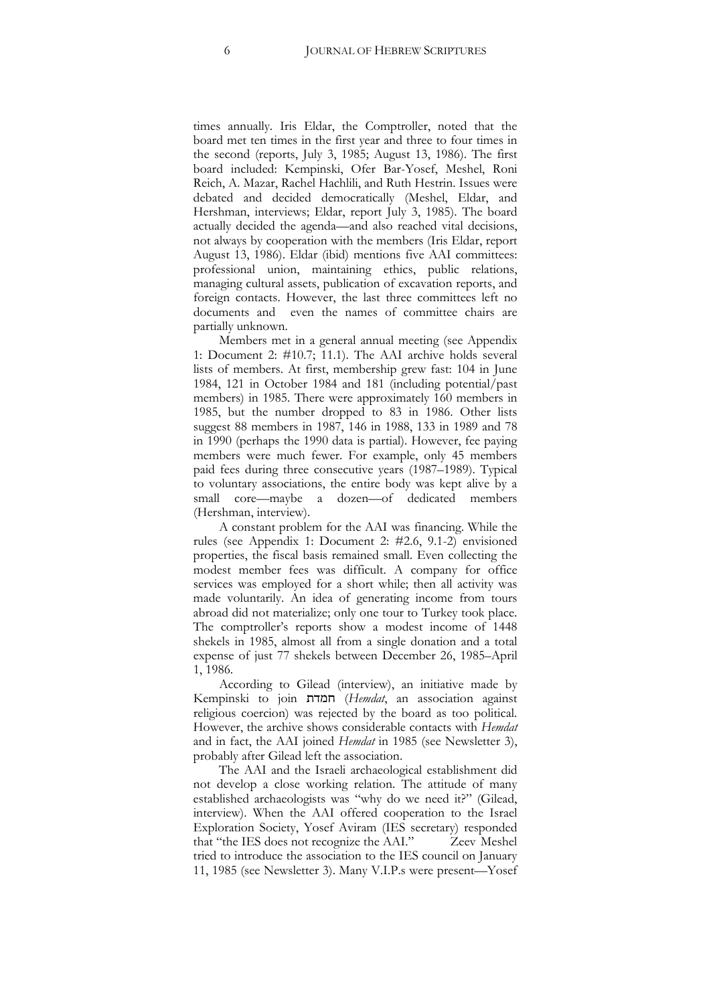times annually. Iris Eldar, the Comptroller, noted that the board met ten times in the first year and three to four times in the second (reports, July 3, 1985; August 13, 1986). The first board included: Kempinski, Ofer Bar-Yosef, Meshel, Roni Reich, A. Mazar, Rachel Hachlili, and Ruth Hestrin. Issues were debated and decided democratically (Meshel, Eldar, and Hershman, interviews; Eldar, report July 3, 1985). The board actually decided the agenda—and also reached vital decisions, not always by cooperation with the members (Iris Eldar, report August 13, 1986). Eldar (ibid) mentions five AAI committees: professional union, maintaining ethics, public relations, managing cultural assets, publication of excavation reports, and foreign contacts. However, the last three committees left no documents and even the names of committee chairs are partially unknown.

Members met in a general annual meeting (see Appendix 1: Document 2:  $\#10.7$ ; 11.1). The AAI archive holds several lists of members. At first, membership grew fast: 104 in June 1984, 121 in October 1984 and 181 (including potential/past members) in 1985. There were approximately 160 members in 1985, but the number dropped to 83 in 1986. Other lists suggest 88 members in 1987, 146 in 1988, 133 in 1989 and 78 in 1990 (perhaps the 1990 data is partial). However, fee paying members were much fewer. For example, only 45 members paid fees during three consecutive years (1987–1989). Typical to voluntary associations, the entire body was kept alive by a small core—maybe a dozen—of dedicated members (Hershman, interview).

A constant problem for the AAI was financing. While the rules (see Appendix 1: Document 2: #2.6, 9.1-2) envisioned properties, the fiscal basis remained small. Even collecting the modest member fees was difficult. A company for office services was employed for a short while; then all activity was made voluntarily. An idea of generating income from tours abroad did not materialize; only one tour to Turkey took place. The comptroller's reports show a modest income of 1448 shekels in 1985, almost all from a single donation and a total expense of just 77 shekels between December 26, 1985–April 1, 1986.

According to Gilead (interview), an initiative made by Kempinski to join =/% (*Hemdat*, an association against religious coercion) was rejected by the board as too political. However, the archive shows considerable contacts with *Hemdat* and in fact, the AAI joined *Hemdat* in 1985 (see Newsletter 3), probably after Gilead left the association.

The AAI and the Israeli archaeological establishment did not develop a close working relation. The attitude of many established archaeologists was "why do we need it?" (Gilead, interview). When the AAI offered cooperation to the Israel Exploration Society, Yosef Aviram (IES secretary) responded that "the IES does not recognize the AAI." Zeev Meshel tried to introduce the association to the IES council on January 11, 1985 (see Newsletter 3). Many V.I.P.s were present—Yosef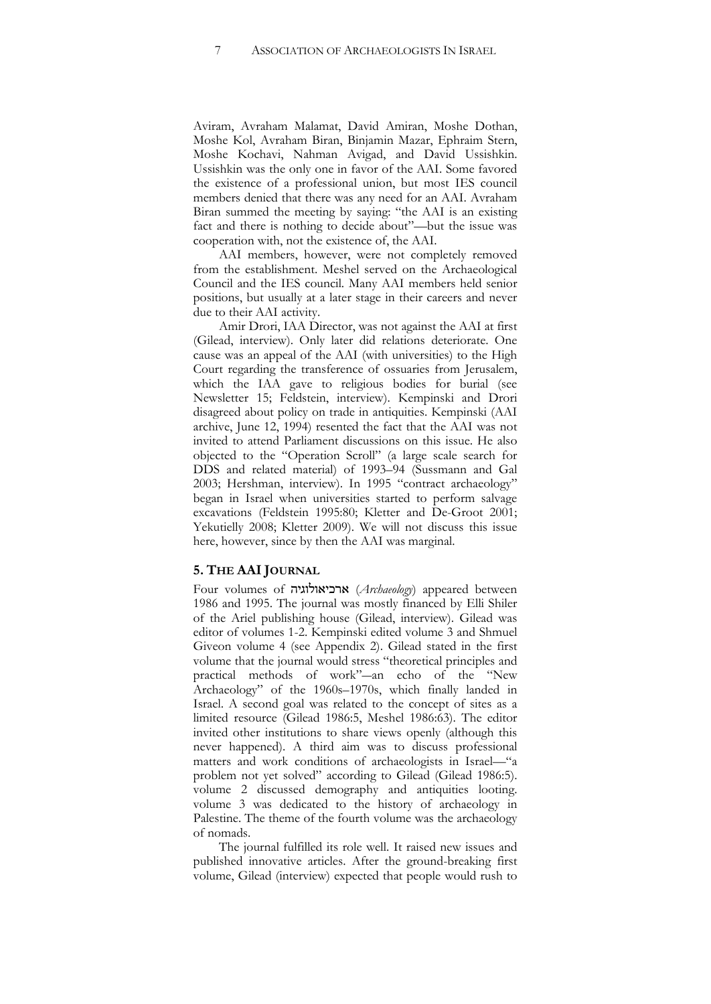Aviram, Avraham Malamat, David Amiran, Moshe Dothan, Moshe Kol, Avraham Biran, Binjamin Mazar, Ephraim Stern, Moshe Kochavi, Nahman Avigad, and David Ussishkin. Ussishkin was the only one in favor of the AAI. Some favored the existence of a professional union, but most IES council members denied that there was any need for an AAI. Avraham Biran summed the meeting by saying: "the AAI is an existing fact and there is nothing to decide about"—but the issue was cooperation with, not the existence of, the AAI.

AAI members, however, were not completely removed from the establishment. Meshel served on the Archaeological Council and the IES council. Many AAI members held senior positions, but usually at a later stage in their careers and never due to their AAI activity.

Amir Drori, IAA Director, was not against the AAI at first (Gilead, interview). Only later did relations deteriorate. One cause was an appeal of the AAI (with universities) to the High Court regarding the transference of ossuaries from Jerusalem, which the IAA gave to religious bodies for burial (see Newsletter 15; Feldstein, interview). Kempinski and Drori disagreed about policy on trade in antiquities. Kempinski (AAI archive, June 12, 1994) resented the fact that the AAI was not invited to attend Parliament discussions on this issue. He also objected to the "Operation Scroll" (a large scale search for DDS and related material) of 1993–94 (Sussmann and Gal 2003; Hershman, interview). In 1995 "contract archaeology" began in Israel when universities started to perform salvage excavations (Feldstein 1995:80; Kletter and De-Groot 2001; Yekutielly 2008; Kletter 2009). We will not discuss this issue here, however, since by then the AAI was marginal.

## **5. THE AAIJOURNAL**

Four volumes of !'#+#'): (*Archaeology*) appeared between 1986 and 1995. The journal was mostly financed by Elli Shiler of the Ariel publishing house (Gilead, interview). Gilead was editor of volumes 1-2. Kempinski edited volume 3 and Shmuel Giveon volume 4 (see Appendix 2). Gilead stated in the first volume that the journal would stress "theoretical principles and practical methods of work"-an echo of the "New Archaeology" of the 1960s–1970s, which finally landed in Israel. A second goal was related to the concept of sites as a limited resource (Gilead 1986:5, Meshel 1986:63). The editor invited other institutions to share views openly (although this never happened). A third aim was to discuss professional matters and work conditions of archaeologists in Israel—"a problem not yet solved" according to Gilead (Gilead 1986:5). volume 2 discussed demography and antiquities looting. volume 3 was dedicated to the history of archaeology in Palestine. The theme of the fourth volume was the archaeology of nomads.

The journal fulfilled its role well. It raised new issues and published innovative articles. After the ground-breaking first volume, Gilead (interview) expected that people would rush to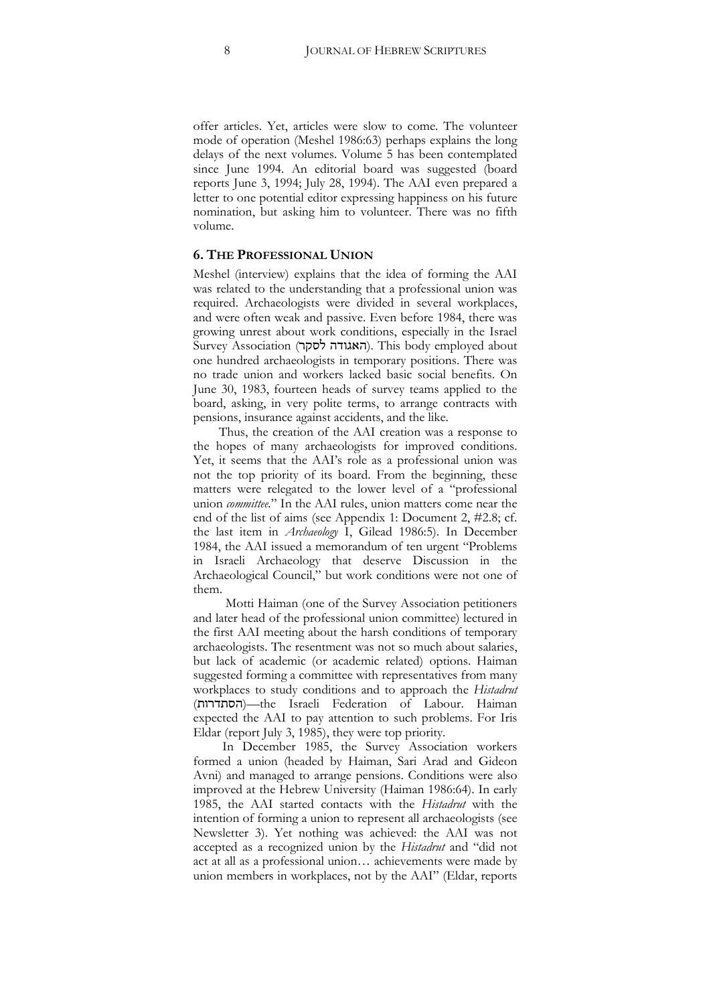offer articles. Yet, articles were slow to come. The volunteer mode of operation (Meshel 1986:63) perhaps explains the long delays of the next volumes. Volume 5 has been contemplated since June 1994. An editorial board was suggested (board reports June 3, 1994; July 28, 1994). The AAI even prepared a letter to one potential editor expressing happiness on his future nomination, but asking him to volunteer. There was no fifth volume.

## **6. THE PROFESSIONAL UNION**

Meshel (interview) explains that the idea of forming the AAI was related to the understanding that a professional union was required. Archaeologists were divided in several workplaces, and were often weak and passive. Even before 1984, there was growing unrest about work conditions, especially in the Israel Survey Association (האגודה לסקר). This body employed about one hundred archaeologists in temporary positions. There was no trade union and workers lacked basic social benefits. On June 30, 1983, fourteen heads of survey teams applied to the board, asking, in very polite terms, to arrange contracts with pensions, insurance against accidents, and the like.

Thus, the creation of the AAI creation was a response to the hopes of many archaeologists for improved conditions. Yet, it seems that the AAI's role as a professional union was not the top priority of its board. From the beginning, these matters were relegated to the lower level of a "professional union *committee.*" In the AAI rules, union matters come near the end of the list of aims (see Appendix 1: Document 2,  $\#2.8$ ; cf. the last item in *Archaeology* I, Gilead 1986:5). In December 1984, the AAI issued a memorandum of ten urgent "Problems in Israeli Archaeology that deserve Discussion in the Archaeological Council," but work conditions were not one of them.

 Motti Haiman (one of the Survey Association petitioners and later head of the professional union committee) lectured in the first AAI meeting about the harsh conditions of temporary archaeologists. The resentment was not so much about salaries, but lack of academic (or academic related) options. Haiman suggested forming a committee with representatives from many workplaces to study conditions and to approach the *Histadrut* (=#:=2!)—the Israeli Federation of Labour. Haiman expected the AAI to pay attention to such problems. For Iris Eldar (report July 3, 1985), they were top priority.

In December 1985, the Survey Association workers formed a union (headed by Haiman, Sari Arad and Gideon Avni) and managed to arrange pensions. Conditions were also improved at the Hebrew University (Haiman 1986:64). In early 1985, the AAI started contacts with the *Histadrut* with the intention of forming a union to represent all archaeologists (see Newsletter 3). Yet nothing was achieved: the AAI was not accepted as a recognized union by the *Histadrut* and "did not act at all as a professional union… achievements were made by union members in workplaces, not by the AAI" (Eldar, reports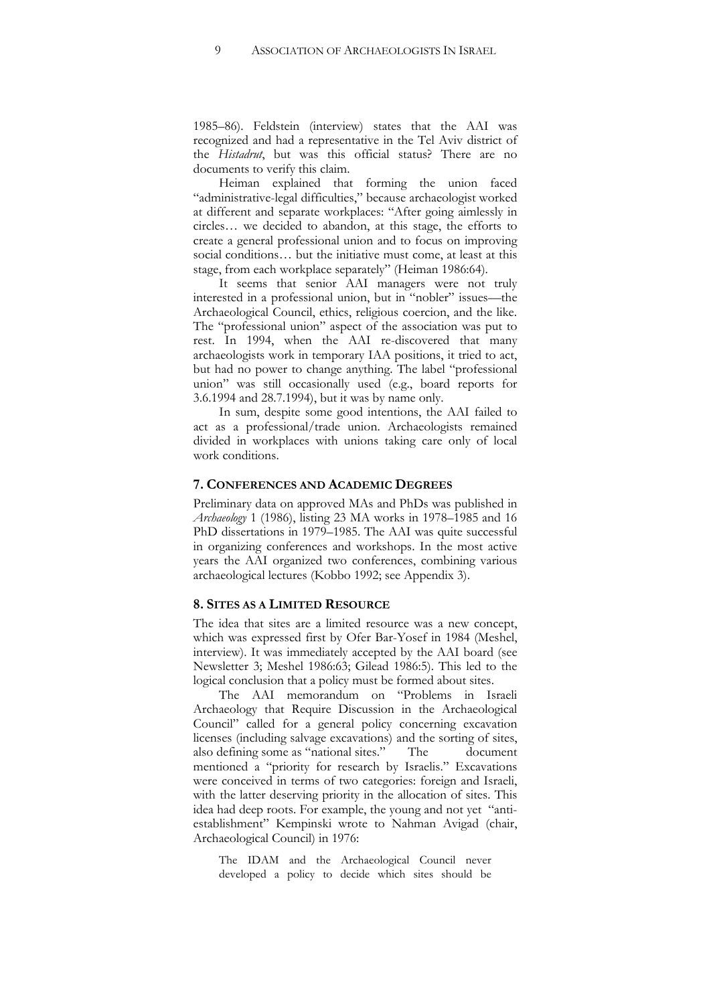1985–86). Feldstein (interview) states that the AAI was recognized and had a representative in the Tel Aviv district of the *Histadrut*, but was this official status? There are no documents to verify this claim.

Heiman explained that forming the union faced "administrative-legal difficulties," because archaeologist worked at different and separate workplaces: "After going aimlessly in circles… we decided to abandon, at this stage, the efforts to create a general professional union and to focus on improving social conditions... but the initiative must come, at least at this stage, from each workplace separately" (Heiman 1986:64).

It seems that senior AAI managers were not truly interested in a professional union, but in "nobler" issues—the Archaeological Council, ethics, religious coercion, and the like. The "professional union" aspect of the association was put to rest. In 1994, when the AAI re-discovered that many archaeologists work in temporary IAA positions, it tried to act, but had no power to change anything. The label "professional union" was still occasionally used (e.g., board reports for 3.6.1994 and 28.7.1994), but it was by name only.

In sum, despite some good intentions, the AAI failed to act as a professional/trade union. Archaeologists remained divided in workplaces with unions taking care only of local work conditions.

#### **7. CONFERENCES AND ACADEMIC DEGREES**

Preliminary data on approved MAs and PhDs was published in *Archaeology* 1 (1986), listing 23 MA works in 1978–1985 and 16 PhD dissertations in 1979–1985. The AAI was quite successful in organizing conferences and workshops. In the most active years the AAI organized two conferences, combining various archaeological lectures (Kobbo 1992; see Appendix 3).

## **8. SITES AS A LIMITED RESOURCE**

The idea that sites are a limited resource was a new concept, which was expressed first by Ofer Bar-Yosef in 1984 (Meshel, interview). It was immediately accepted by the AAI board (see Newsletter 3; Meshel 1986:63; Gilead 1986:5). This led to the logical conclusion that a policy must be formed about sites.

The AAI memorandum on "Problems in Israeli Archaeology that Require Discussion in the Archaeological Council" called for a general policy concerning excavation licenses (including salvage excavations) and the sorting of sites, also defining some as "national sites." The document mentioned a "priority for research by Israelis." Excavations were conceived in terms of two categories: foreign and Israeli, with the latter deserving priority in the allocation of sites. This idea had deep roots. For example, the young and not yet "antiestablishment" Kempinski wrote to Nahman Avigad (chair, Archaeological Council) in 1976:

The IDAM and the Archaeological Council never developed a policy to decide which sites should be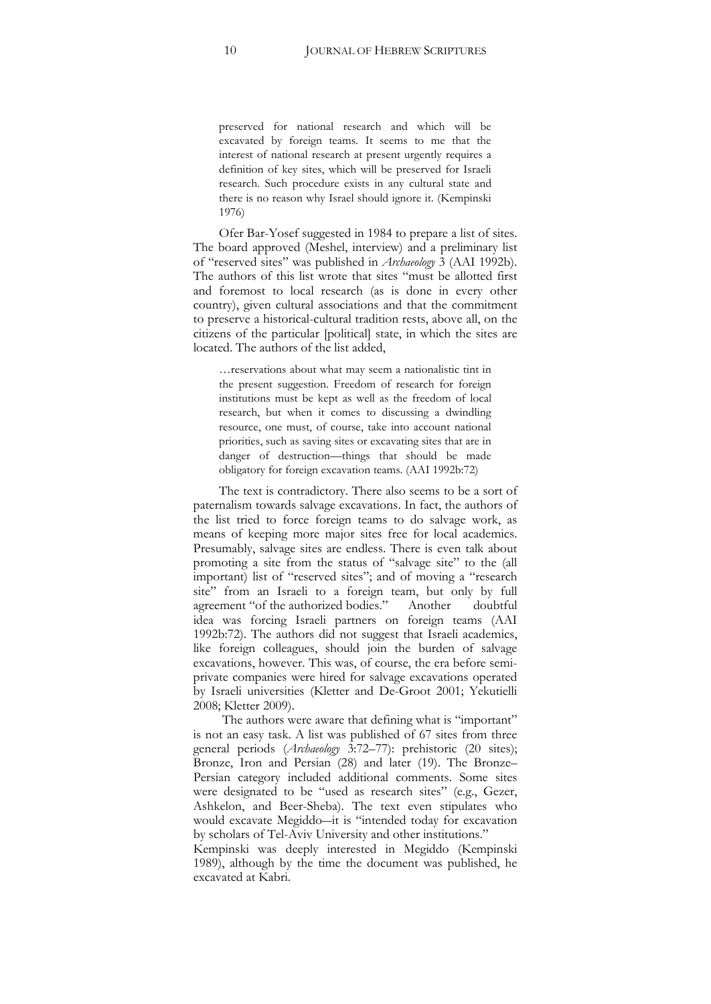preserved for national research and which will be excavated by foreign teams. It seems to me that the interest of national research at present urgently requires a definition of key sites, which will be preserved for Israeli research. Such procedure exists in any cultural state and there is no reason why Israel should ignore it. (Kempinski 1976)

Ofer Bar-Yosef suggested in 1984 to prepare a list of sites. The board approved (Meshel, interview) and a preliminary list of "reserved sites" was published in *Archaeology* 3 (AAI 1992b). The authors of this list wrote that sites "must be allotted first and foremost to local research (as is done in every other country), given cultural associations and that the commitment to preserve a historical-cultural tradition rests, above all, on the citizens of the particular [political] state, in which the sites are located. The authors of the list added,

…reservations about what may seem a nationalistic tint in the present suggestion. Freedom of research for foreign institutions must be kept as well as the freedom of local research, but when it comes to discussing a dwindling resource, one must, of course, take into account national priorities, such as saving sites or excavating sites that are in danger of destruction—things that should be made obligatory for foreign excavation teams. (AAI 1992b:72)

The text is contradictory. There also seems to be a sort of paternalism towards salvage excavations. In fact, the authors of the list tried to force foreign teams to do salvage work, as means of keeping more major sites free for local academics. Presumably, salvage sites are endless. There is even talk about promoting a site from the status of "salvage site" to the (all important) list of "reserved sites"; and of moving a "research site" from an Israeli to a foreign team, but only by full agreement "of the authorized bodies." Another doubtful idea was forcing Israeli partners on foreign teams (AAI 1992b:72). The authors did not suggest that Israeli academics, like foreign colleagues, should join the burden of salvage excavations, however. This was, of course, the era before semiprivate companies were hired for salvage excavations operated by Israeli universities (Kletter and De-Groot 2001; Yekutielli 2008; Kletter 2009).

The authors were aware that defining what is "important" is not an easy task. A list was published of 67 sites from three general periods (Archaeology 3:72-77): prehistoric (20 sites); Bronze, Iron and Persian (28) and later (19). The Bronze– Persian category included additional comments. Some sites were designated to be "used as research sites" (e.g., Gezer, Ashkelon, and Beer-Sheba). The text even stipulates who would excavate Megiddo-it is "intended today for excavation by scholars of Tel-Aviv University and other institutions."

Kempinski was deeply interested in Megiddo (Kempinski 1989), although by the time the document was published, he excavated at Kabri.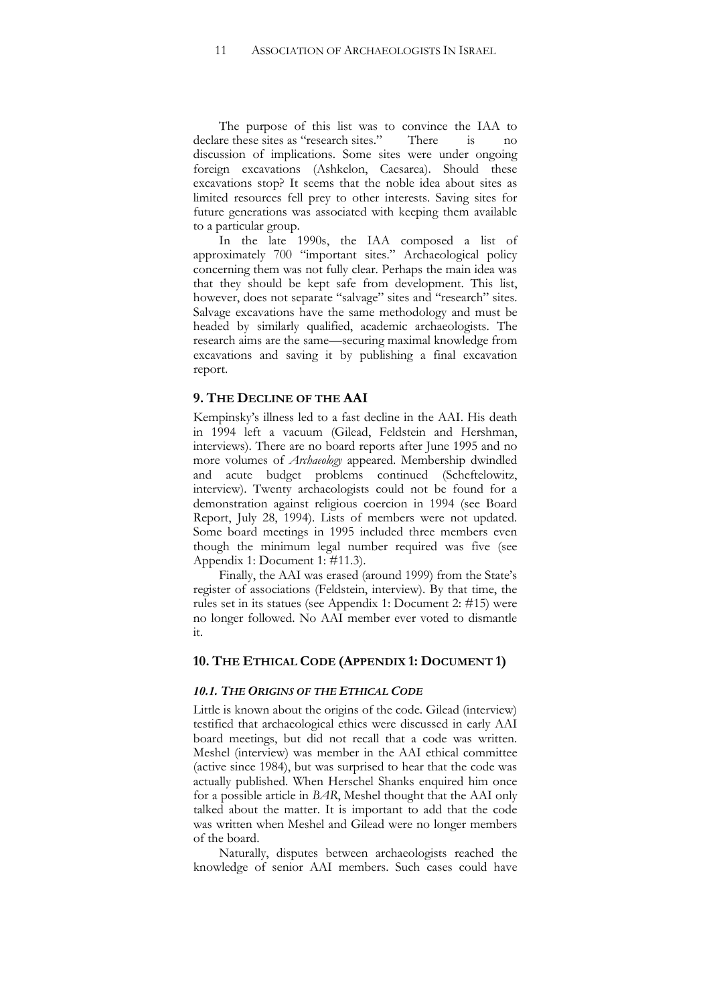The purpose of this list was to convince the IAA to declare these sites as "research sites." There is no discussion of implications. Some sites were under ongoing foreign excavations (Ashkelon, Caesarea). Should these excavations stop? It seems that the noble idea about sites as limited resources fell prey to other interests. Saving sites for future generations was associated with keeping them available to a particular group.

In the late 1990s, the IAA composed a list of approximately 700 "important sites." Archaeological policy concerning them was not fully clear. Perhaps the main idea was that they should be kept safe from development. This list, however, does not separate "salvage" sites and "research" sites. Salvage excavations have the same methodology and must be headed by similarly qualified, academic archaeologists. The research aims are the same—securing maximal knowledge from excavations and saving it by publishing a final excavation report.

## **9. THE DECLINE OF THE AAI**

Kempinsky's illness led to a fast decline in the AAI. His death in 1994 left a vacuum (Gilead, Feldstein and Hershman, interviews). There are no board reports after June 1995 and no more volumes of *Archaeology* appeared. Membership dwindled and acute budget problems continued (Scheftelowitz, interview). Twenty archaeologists could not be found for a demonstration against religious coercion in 1994 (see Board Report, July 28, 1994). Lists of members were not updated. Some board meetings in 1995 included three members even though the minimum legal number required was five (see Appendix 1: Document 1: #11.3).

Finally, the AAI was erased (around 1999) from the State's register of associations (Feldstein, interview). By that time, the rules set in its statues (see Appendix 1: Document 2: #15) were no longer followed. No AAI member ever voted to dismantle it.

## **10. THE ETHICAL CODE (APPENDIX 1: DOCUMENT 1)**

#### *10.1. THE ORIGINS OF THE ETHICAL CODE*

Little is known about the origins of the code. Gilead (interview) testified that archaeological ethics were discussed in early AAI board meetings, but did not recall that a code was written. Meshel (interview) was member in the AAI ethical committee (active since 1984), but was surprised to hear that the code was actually published. When Herschel Shanks enquired him once for a possible article in *BAR*, Meshel thought that the AAI only talked about the matter. It is important to add that the code was written when Meshel and Gilead were no longer members of the board.

Naturally, disputes between archaeologists reached the knowledge of senior AAI members. Such cases could have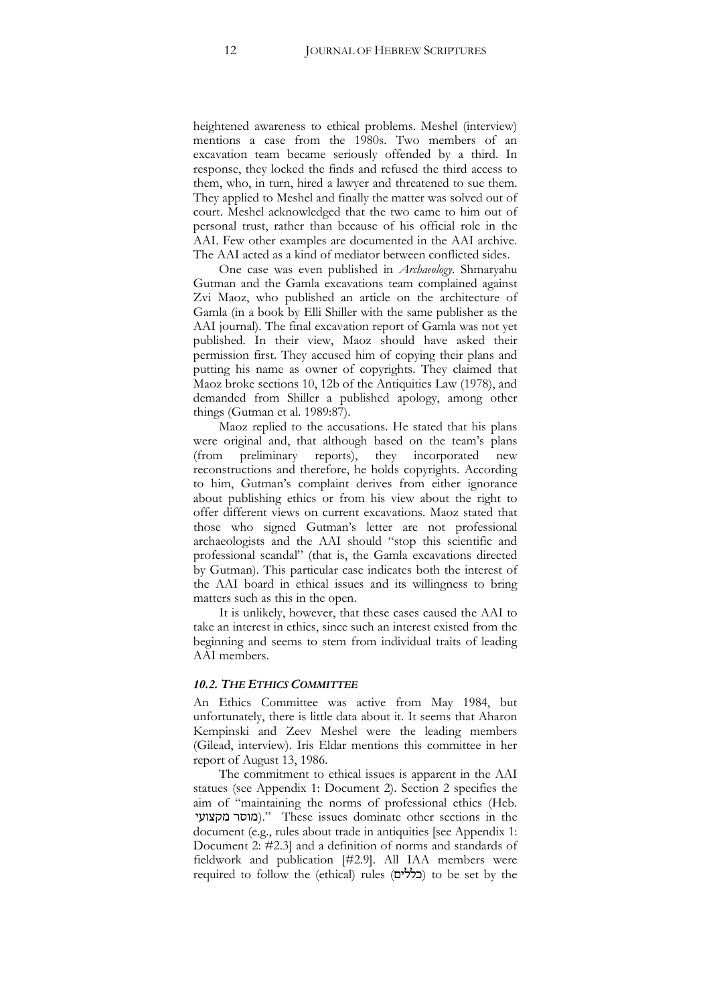heightened awareness to ethical problems. Meshel (interview) mentions a case from the 1980s. Two members of an excavation team became seriously offended by a third. In response, they locked the finds and refused the third access to them, who, in turn, hired a lawyer and threatened to sue them. They applied to Meshel and finally the matter was solved out of court. Meshel acknowledged that the two came to him out of personal trust, rather than because of his official role in the AAI. Few other examples are documented in the AAI archive. The AAI acted as a kind of mediator between conflicted sides.

One case was even published in *Archaeology*. Shmaryahu Gutman and the Gamla excavations team complained against Zvi Maoz, who published an article on the architecture of Gamla (in a book by Elli Shiller with the same publisher as the AAI journal). The final excavation report of Gamla was not yet published. In their view, Maoz should have asked their permission first. They accused him of copying their plans and putting his name as owner of copyrights. They claimed that Maoz broke sections 10, 12b of the Antiquities Law (1978), and demanded from Shiller a published apology, among other things (Gutman et al. 1989:87).

Maoz replied to the accusations. He stated that his plans were original and, that although based on the team's plans (from preliminary reports), they incorporated new reconstructions and therefore, he holds copyrights. According to him, Gutman's complaint derives from either ignorance about publishing ethics or from his view about the right to offer different views on current excavations. Maoz stated that those who signed Gutman's letter are not professional archaeologists and the AAI should "stop this scientific and professional scandal" (that is, the Gamla excavations directed by Gutman). This particular case indicates both the interest of the AAI board in ethical issues and its willingness to bring matters such as this in the open.

It is unlikely, however, that these cases caused the AAI to take an interest in ethics, since such an interest existed from the beginning and seems to stem from individual traits of leading AAI members.

## *10.2. THE ETHICS COMMITTEE*

An Ethics Committee was active from May 1984, but unfortunately, there is little data about it. It seems that Aharon Kempinski and Zeev Meshel were the leading members (Gilead, interview). Iris Eldar mentions this committee in her report of August 13, 1986.

The commitment to ethical issues is apparent in the AAI statues (see Appendix 1: Document 2). Section 2 specifies the aim of "maintaining the norms of professional ethics (Heb. '3#89/:2#/)." These issues dominate other sections in the document (e.g., rules about trade in antiquities [see Appendix 1: Document 2: #2.3] and a definition of norms and standards of fieldwork and publication [#2.9]. All IAA members were required to follow the (ethical) rules (בללים) to be set by the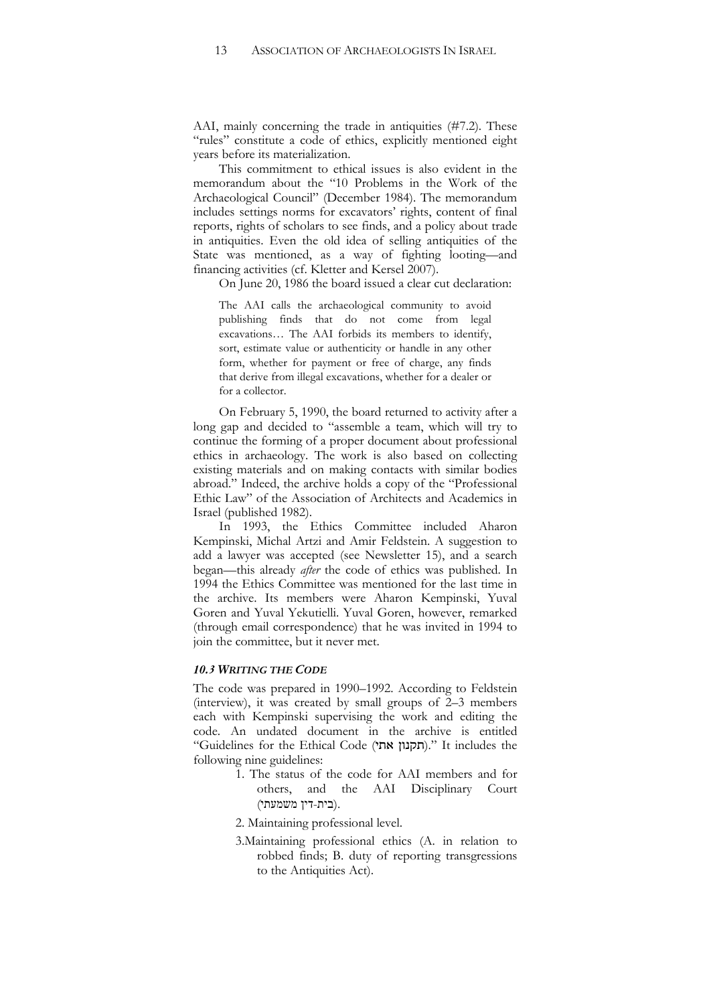AAI, mainly concerning the trade in antiquities (#7.2). These "rules" constitute a code of ethics, explicitly mentioned eight years before its materialization.

This commitment to ethical issues is also evident in the memorandum about the "10 Problems in the Work of the Archaeological Council" (December 1984). The memorandum includes settings norms for excavators' rights, content of final reports, rights of scholars to see finds, and a policy about trade in antiquities. Even the old idea of selling antiquities of the State was mentioned, as a way of fighting looting—and financing activities (cf. Kletter and Kersel 2007).

On June 20, 1986 the board issued a clear cut declaration:

The AAI calls the archaeological community to avoid publishing finds that do not come from legal excavations… The AAI forbids its members to identify, sort, estimate value or authenticity or handle in any other form, whether for payment or free of charge, any finds that derive from illegal excavations, whether for a dealer or for a collector.

On February 5, 1990, the board returned to activity after a long gap and decided to "assemble a team, which will try to continue the forming of a proper document about professional ethics in archaeology. The work is also based on collecting existing materials and on making contacts with similar bodies abroad." Indeed, the archive holds a copy of the "Professional Ethic Law" of the Association of Architects and Academics in Israel (published 1982).

In 1993, the Ethics Committee included Aharon Kempinski, Michal Artzi and Amir Feldstein. A suggestion to add a lawyer was accepted (see Newsletter 15), and a search began—this already *after* the code of ethics was published. In 1994 the Ethics Committee was mentioned for the last time in the archive. Its members were Aharon Kempinski, Yuval Goren and Yuval Yekutielli. Yuval Goren, however, remarked (through email correspondence) that he was invited in 1994 to join the committee, but it never met.

## *10.3 WRITING THE CODE*

The code was prepared in 1990–1992. According to Feldstein (interview), it was created by small groups of 2–3 members each with Kempinski supervising the work and editing the code. An undated document in the archive is entitled "Guidelines for the Ethical Code (תקנון אתי)." It includes the following nine guidelines:

- 1. The status of the code for AAI members and for others, and the AAI Disciplinary Court (בית-דין משמעתי).
- 2. Maintaining professional level.
- 3.Maintaining professional ethics (A. in relation to robbed finds; B. duty of reporting transgressions to the Antiquities Act).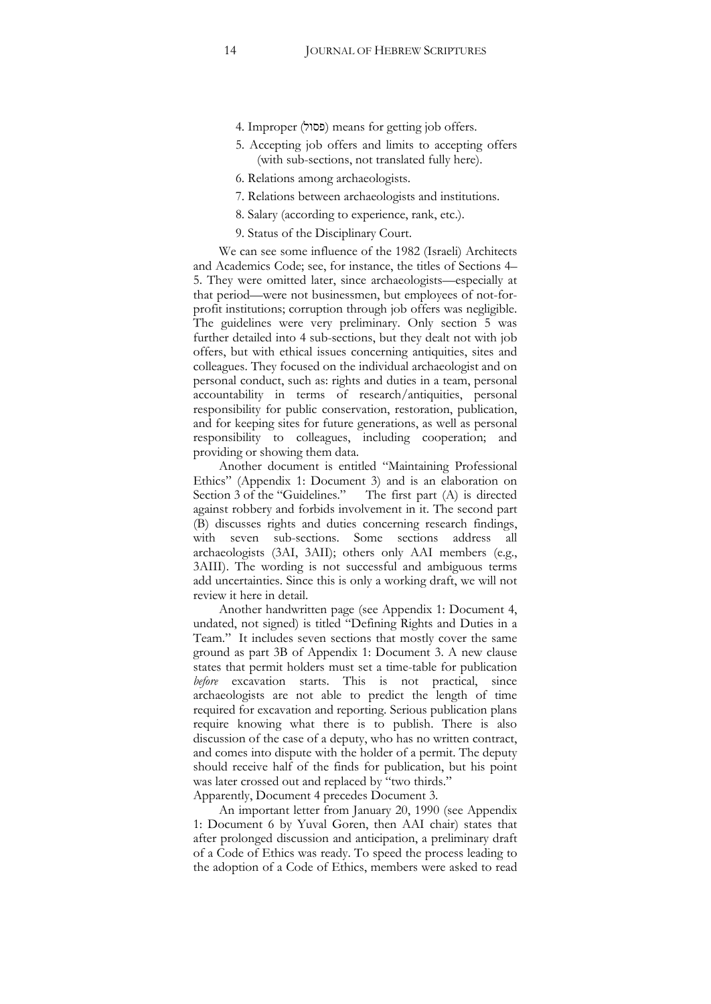- 4. Improper (ʬʥʱʴ) means for getting job offers.
- 5. Accepting job offers and limits to accepting offers (with sub-sections, not translated fully here).
- 6. Relations among archaeologists.
- 7. Relations between archaeologists and institutions.
- 8. Salary (according to experience, rank, etc.).
- 9. Status of the Disciplinary Court.

We can see some influence of the 1982 (Israeli) Architects and Academics Code; see, for instance, the titles of Sections 4– 5. They were omitted later, since archaeologists—especially at that period—were not businessmen, but employees of not-forprofit institutions; corruption through job offers was negligible. The guidelines were very preliminary. Only section 5 was further detailed into 4 sub-sections, but they dealt not with job offers, but with ethical issues concerning antiquities, sites and colleagues. They focused on the individual archaeologist and on personal conduct, such as: rights and duties in a team, personal accountability in terms of research/antiquities, personal responsibility for public conservation, restoration, publication, and for keeping sites for future generations, as well as personal responsibility to colleagues, including cooperation; and providing or showing them data.

Another document is entitled "Maintaining Professional Ethics" (Appendix 1: Document 3) and is an elaboration on Section 3 of the "Guidelines." The first part (A) is directed against robbery and forbids involvement in it. The second part (B) discusses rights and duties concerning research findings, with seven sub-sections. Some sections address all archaeologists (3AI, 3AII); others only AAI members (e.g., 3AIII). The wording is not successful and ambiguous terms add uncertainties. Since this is only a working draft, we will not review it here in detail.

Another handwritten page (see Appendix 1: Document 4, undated, not signed) is titled "Defining Rights and Duties in a Team." It includes seven sections that mostly cover the same ground as part 3B of Appendix 1: Document 3. A new clause states that permit holders must set a time-table for publication *before* excavation starts. This is not practical, since archaeologists are not able to predict the length of time required for excavation and reporting. Serious publication plans require knowing what there is to publish. There is also discussion of the case of a deputy, who has no written contract, and comes into dispute with the holder of a permit. The deputy should receive half of the finds for publication, but his point was later crossed out and replaced by "two thirds."

Apparently, Document 4 precedes Document 3.

An important letter from January 20, 1990 (see Appendix 1: Document 6 by Yuval Goren, then AAI chair) states that after prolonged discussion and anticipation, a preliminary draft of a Code of Ethics was ready. To speed the process leading to the adoption of a Code of Ethics, members were asked to read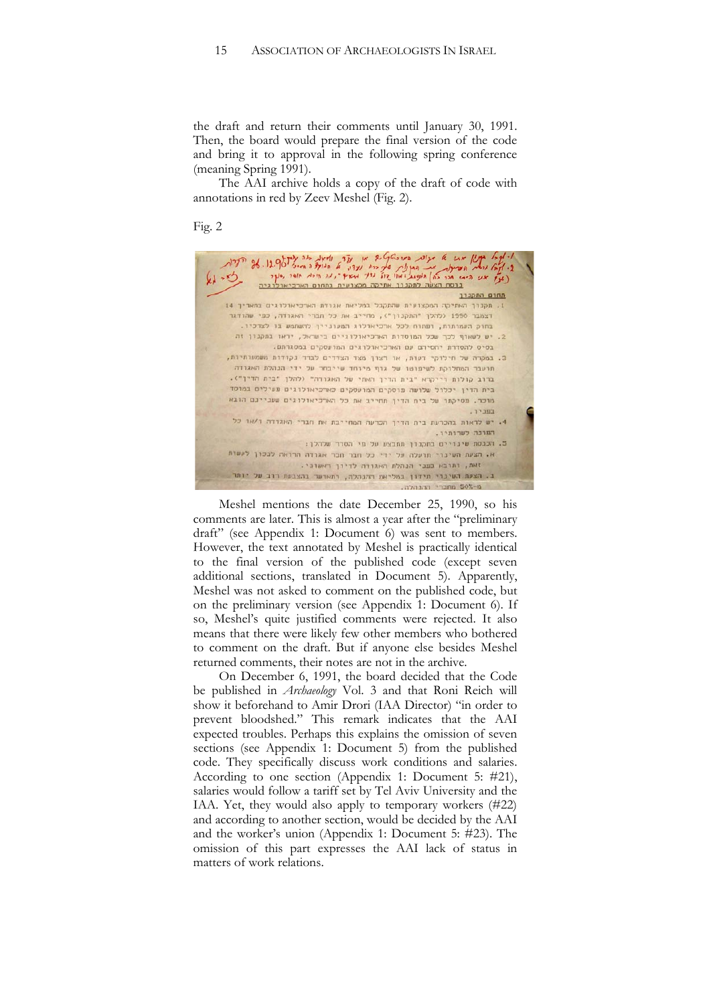the draft and return their comments until January 30, 1991. Then, the board would prepare the final version of the code and bring it to approval in the following spring conference (meaning Spring 1991).

The AAI archive holds a copy of the draft of code with annotations in red by Zeev Meshel (Fig. 2).

Fig. 2



Meshel mentions the date December 25, 1990, so his comments are later. This is almost a year after the "preliminary draft" (see Appendix 1: Document 6) was sent to members. However, the text annotated by Meshel is practically identical to the final version of the published code (except seven additional sections, translated in Document 5). Apparently, Meshel was not asked to comment on the published code, but on the preliminary version (see Appendix 1: Document 6). If so, Meshel's quite justified comments were rejected. It also means that there were likely few other members who bothered to comment on the draft. But if anyone else besides Meshel returned comments, their notes are not in the archive.

On December 6, 1991, the board decided that the Code be published in *Archaeology* Vol. 3 and that Roni Reich will show it beforehand to Amir Drori (IAA Director) "in order to prevent bloodshed." This remark indicates that the AAI expected troubles. Perhaps this explains the omission of seven sections (see Appendix 1: Document 5) from the published code. They specifically discuss work conditions and salaries. According to one section (Appendix 1: Document 5: #21), salaries would follow a tariff set by Tel Aviv University and the IAA. Yet, they would also apply to temporary workers (#22) and according to another section, would be decided by the AAI and the worker's union (Appendix 1: Document 5: #23). The omission of this part expresses the AAI lack of status in matters of work relations.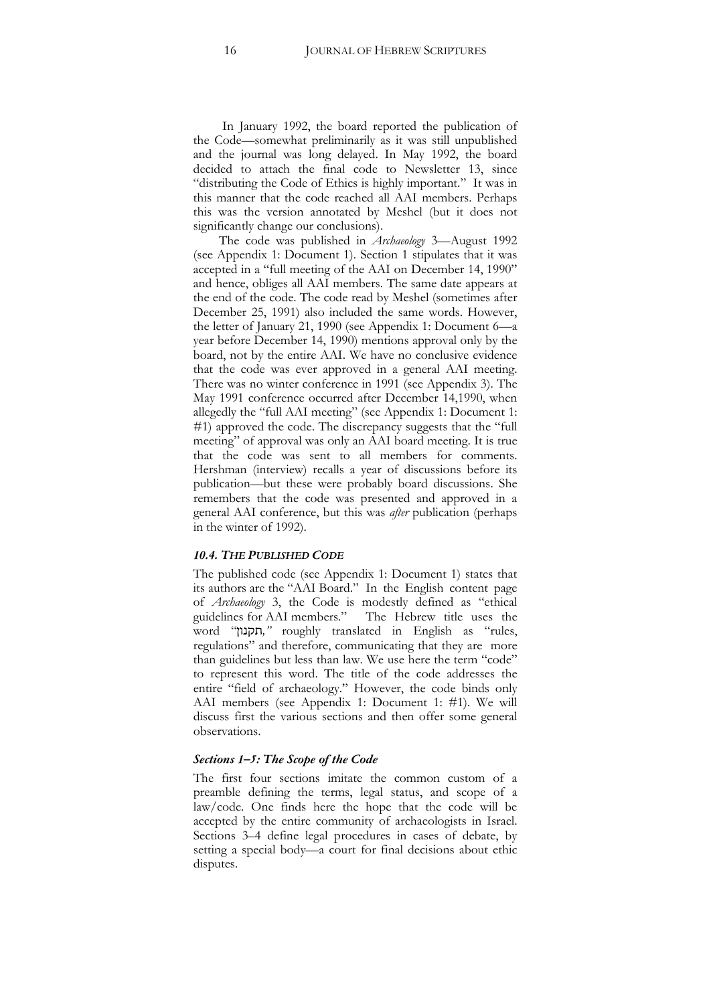In January 1992, the board reported the publication of the Code—somewhat preliminarily as it was still unpublished and the journal was long delayed. In May 1992, the board decided to attach the final code to Newsletter 13, since "distributing the Code of Ethics is highly important." It was in this manner that the code reached all AAI members. Perhaps this was the version annotated by Meshel (but it does not significantly change our conclusions).

The code was published in *Archaeology* 3—August 1992 (see Appendix 1: Document 1). Section 1 stipulates that it was accepted in a "full meeting of the AAI on December 14, 1990" and hence, obliges all AAI members. The same date appears at the end of the code. The code read by Meshel (sometimes after December 25, 1991) also included the same words. However, the letter of January 21, 1990 (see Appendix 1: Document 6—a year before December 14, 1990) mentions approval only by the board, not by the entire AAI. We have no conclusive evidence that the code was ever approved in a general AAI meeting. There was no winter conference in 1991 (see Appendix 3). The May 1991 conference occurred after December 14,1990, when allegedly the "full AAI meeting" (see Appendix 1: Document 1: #1) approved the code. The discrepancy suggests that the "full meeting" of approval was only an AAI board meeting. It is true that the code was sent to all members for comments. Hershman (interview) recalls a year of discussions before its publication—but these were probably board discussions. She remembers that the code was presented and approved in a general AAI conference, but this was *after* publication (perhaps in the winter of 1992).

#### *10.4. THE PUBLISHED CODE*

The published code (see Appendix 1: Document 1) states that its authors are the "AAI Board." In the English content page of *Archaeology* 3, the Code is modestly defined as "ethical guidelines for AAI members." The Hebrew title uses the word "0#19=*,"* roughly translated in English as "rules, regulations" and therefore, communicating that they are more than guidelines but less than law. We use here the term "code" to represent this word. The title of the code addresses the entire "field of archaeology." However, the code binds only AAI members (see Appendix 1: Document 1: #1). We will discuss first the various sections and then offer some general observations.

#### *Sections 1–5: The Scope of the Code*

The first four sections imitate the common custom of a preamble defining the terms, legal status, and scope of a law/code. One finds here the hope that the code will be accepted by the entire community of archaeologists in Israel. Sections 3–4 define legal procedures in cases of debate, by setting a special body—a court for final decisions about ethic disputes.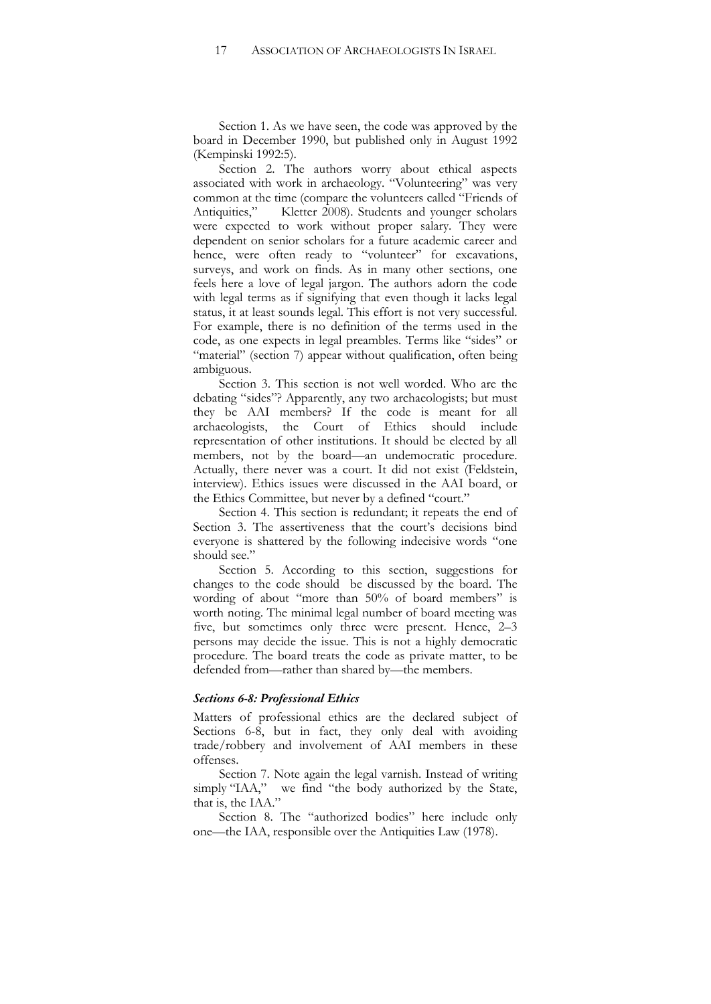Section 1. As we have seen, the code was approved by the board in December 1990, but published only in August 1992 (Kempinski 1992:5).

Section 2. The authors worry about ethical aspects associated with work in archaeology. "Volunteering" was very common at the time (compare the volunteers called "Friends of Antiquities," Kletter 2008). Students and younger scholars were expected to work without proper salary. They were dependent on senior scholars for a future academic career and hence, were often ready to "volunteer" for excavations, surveys, and work on finds. As in many other sections, one feels here a love of legal jargon. The authors adorn the code with legal terms as if signifying that even though it lacks legal status, it at least sounds legal. This effort is not very successful. For example, there is no definition of the terms used in the code, as one expects in legal preambles. Terms like "sides" or "material" (section 7) appear without qualification, often being ambiguous.

Section 3. This section is not well worded. Who are the debating "sides"? Apparently, any two archaeologists; but must they be AAI members? If the code is meant for all archaeologists, the Court of Ethics should include representation of other institutions. It should be elected by all members, not by the board—an undemocratic procedure. Actually, there never was a court. It did not exist (Feldstein, interview). Ethics issues were discussed in the AAI board, or the Ethics Committee, but never by a defined "court."

Section 4. This section is redundant; it repeats the end of Section 3. The assertiveness that the court's decisions bind everyone is shattered by the following indecisive words "one should see.'

Section 5. According to this section, suggestions for changes to the code should be discussed by the board. The wording of about "more than 50% of board members" is worth noting. The minimal legal number of board meeting was five, but sometimes only three were present. Hence, 2–3 persons may decide the issue. This is not a highly democratic procedure. The board treats the code as private matter, to be defended from—rather than shared by—the members.

#### *Sections 6-8: Professional Ethics*

Matters of professional ethics are the declared subject of Sections 6-8, but in fact, they only deal with avoiding trade/robbery and involvement of AAI members in these offenses.

Section 7. Note again the legal varnish. Instead of writing simply "IAA," we find "the body authorized by the State, that is, the IAA."

Section 8. The "authorized bodies" here include only one—the IAA, responsible over the Antiquities Law (1978).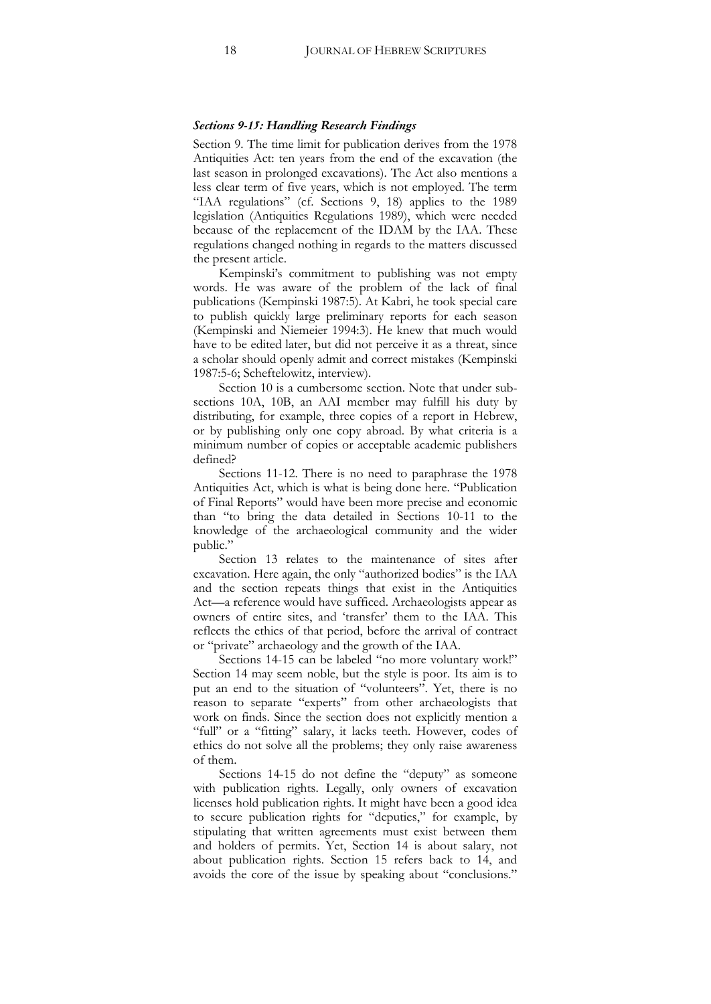#### *Sections 9-15: Handling Research Findings*

Section 9. The time limit for publication derives from the 1978 Antiquities Act: ten years from the end of the excavation (the last season in prolonged excavations). The Act also mentions a less clear term of five years, which is not employed. The term "IAA regulations" (cf. Sections 9, 18) applies to the 1989 legislation (Antiquities Regulations 1989), which were needed because of the replacement of the IDAM by the IAA. These regulations changed nothing in regards to the matters discussed the present article.

Kempinski's commitment to publishing was not empty words. He was aware of the problem of the lack of final publications (Kempinski 1987:5). At Kabri, he took special care to publish quickly large preliminary reports for each season (Kempinski and Niemeier 1994:3). He knew that much would have to be edited later, but did not perceive it as a threat, since a scholar should openly admit and correct mistakes (Kempinski 1987:5-6; Scheftelowitz, interview).

Section 10 is a cumbersome section. Note that under subsections 10A, 10B, an AAI member may fulfill his duty by distributing, for example, three copies of a report in Hebrew, or by publishing only one copy abroad. By what criteria is a minimum number of copies or acceptable academic publishers defined?

Sections 11-12. There is no need to paraphrase the 1978 Antiquities Act, which is what is being done here. "Publication of Final Reports" would have been more precise and economic than "to bring the data detailed in Sections 10-11 to the knowledge of the archaeological community and the wider public."

Section 13 relates to the maintenance of sites after excavation. Here again, the only "authorized bodies" is the IAA and the section repeats things that exist in the Antiquities Act—a reference would have sufficed. Archaeologists appear as owners of entire sites, and 'transfer' them to the IAA. This reflects the ethics of that period, before the arrival of contract or "private" archaeology and the growth of the IAA.

Sections 14-15 can be labeled "no more voluntary work!" Section 14 may seem noble, but the style is poor. Its aim is to put an end to the situation of "volunteers". Yet, there is no reason to separate "experts" from other archaeologists that work on finds. Since the section does not explicitly mention a "full" or a "fitting" salary, it lacks teeth. However, codes of ethics do not solve all the problems; they only raise awareness of them.

Sections 14-15 do not define the "deputy" as someone with publication rights. Legally, only owners of excavation licenses hold publication rights. It might have been a good idea to secure publication rights for "deputies," for example, by stipulating that written agreements must exist between them and holders of permits. Yet, Section 14 is about salary, not about publication rights. Section 15 refers back to 14, and avoids the core of the issue by speaking about "conclusions."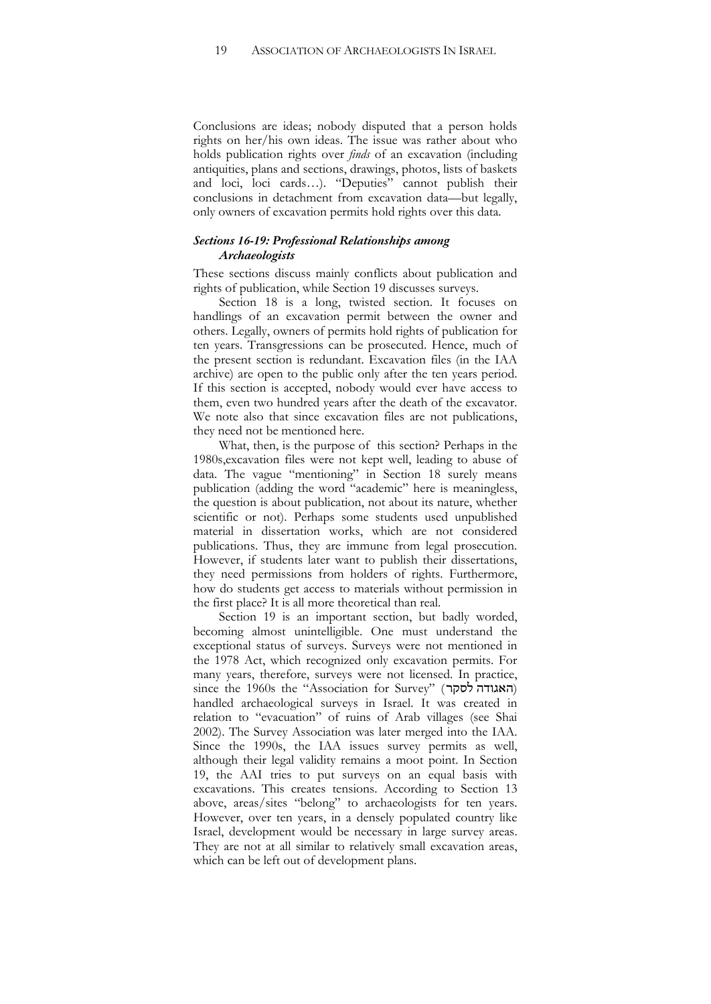Conclusions are ideas; nobody disputed that a person holds rights on her/his own ideas. The issue was rather about who holds publication rights over *finds* of an excavation (including antiquities, plans and sections, drawings, photos, lists of baskets and loci, loci cards…). "Deputies" cannot publish their conclusions in detachment from excavation data—but legally, only owners of excavation permits hold rights over this data.

## *Sections 16-19: Professional Relationships among Archaeologists*

These sections discuss mainly conflicts about publication and rights of publication, while Section 19 discusses surveys.

Section 18 is a long, twisted section. It focuses on handlings of an excavation permit between the owner and others. Legally, owners of permits hold rights of publication for ten years. Transgressions can be prosecuted. Hence, much of the present section is redundant. Excavation files (in the IAA archive) are open to the public only after the ten years period. If this section is accepted, nobody would ever have access to them, even two hundred years after the death of the excavator. We note also that since excavation files are not publications, they need not be mentioned here.

What, then, is the purpose of this section? Perhaps in the 1980s,excavation files were not kept well, leading to abuse of data. The vague "mentioning" in Section 18 surely means publication (adding the word "academic" here is meaningless, the question is about publication, not about its nature, whether scientific or not). Perhaps some students used unpublished material in dissertation works, which are not considered publications. Thus, they are immune from legal prosecution. However, if students later want to publish their dissertations, they need permissions from holders of rights. Furthermore, how do students get access to materials without permission in the first place? It is all more theoretical than real.

Section 19 is an important section, but badly worded, becoming almost unintelligible. One must understand the exceptional status of surveys. Surveys were not mentioned in the 1978 Act, which recognized only excavation permits. For many years, therefore, surveys were not licensed. In practice,  $\sigma$  since the 1960s the "Association for Survey" (האגודה לסקר) handled archaeological surveys in Israel. It was created in relation to "evacuation" of ruins of Arab villages (see Shai 2002). The Survey Association was later merged into the IAA. Since the 1990s, the IAA issues survey permits as well, although their legal validity remains a moot point. In Section 19, the AAI tries to put surveys on an equal basis with excavations. This creates tensions. According to Section 13 above, areas/sites "belong" to archaeologists for ten years. However, over ten years, in a densely populated country like Israel, development would be necessary in large survey areas. They are not at all similar to relatively small excavation areas, which can be left out of development plans.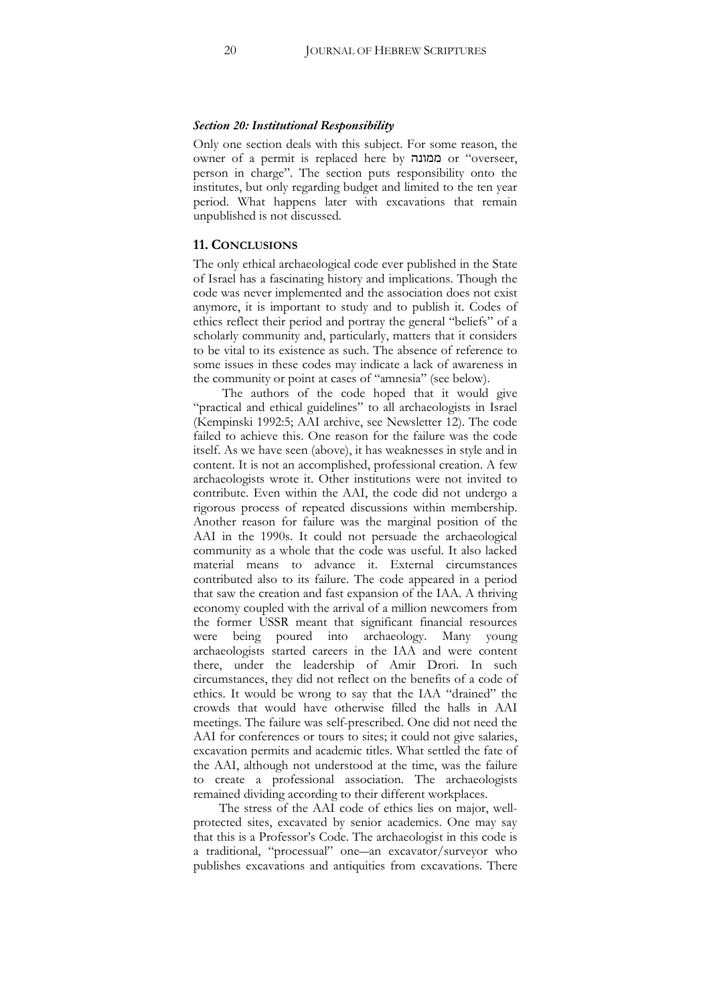#### *Section 20: Institutional Responsibility*

Only one section deals with this subject. For some reason, the owner of a permit is replaced here by !1#// or "overseer, person in charge". The section puts responsibility onto the institutes, but only regarding budget and limited to the ten year period. What happens later with excavations that remain unpublished is not discussed.

## **11. CONCLUSIONS**

The only ethical archaeological code ever published in the State of Israel has a fascinating history and implications. Though the code was never implemented and the association does not exist anymore, it is important to study and to publish it. Codes of ethics reflect their period and portray the general "beliefs" of a scholarly community and, particularly, matters that it considers to be vital to its existence as such. The absence of reference to some issues in these codes may indicate a lack of awareness in the community or point at cases of "amnesia" (see below).

The authors of the code hoped that it would give "practical and ethical guidelines" to all archaeologists in Israel (Kempinski 1992:5; AAI archive, see Newsletter 12). The code failed to achieve this. One reason for the failure was the code itself. As we have seen (above), it has weaknesses in style and in content. It is not an accomplished, professional creation. A few archaeologists wrote it. Other institutions were not invited to contribute. Even within the AAI, the code did not undergo a rigorous process of repeated discussions within membership. Another reason for failure was the marginal position of the AAI in the 1990s. It could not persuade the archaeological community as a whole that the code was useful. It also lacked material means to advance it. External circumstances contributed also to its failure. The code appeared in a period that saw the creation and fast expansion of the IAA. A thriving economy coupled with the arrival of a million newcomers from the former USSR meant that significant financial resources were being poured into archaeology. Many young archaeologists started careers in the IAA and were content there, under the leadership of Amir Drori. In such circumstances, they did not reflect on the benefits of a code of ethics. It would be wrong to say that the IAA "drained" the crowds that would have otherwise filled the halls in AAI meetings. The failure was self-prescribed. One did not need the AAI for conferences or tours to sites; it could not give salaries, excavation permits and academic titles. What settled the fate of the AAI, although not understood at the time, was the failure to create a professional association. The archaeologists remained dividing according to their different workplaces.

The stress of the AAI code of ethics lies on major, wellprotected sites, excavated by senior academics. One may say that this is a Professor's Code. The archaeologist in this code is a traditional, "processual" one-an excavator/surveyor who publishes excavations and antiquities from excavations. There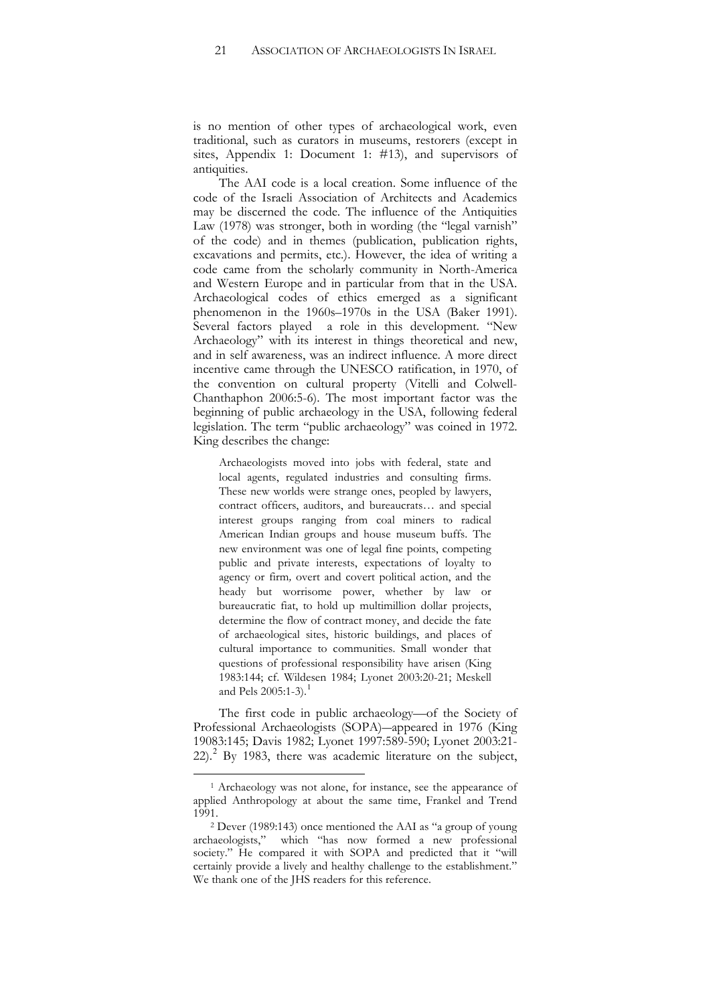is no mention of other types of archaeological work, even traditional, such as curators in museums, restorers (except in sites, Appendix 1: Document 1: #13), and supervisors of antiquities.

The AAI code is a local creation. Some influence of the code of the Israeli Association of Architects and Academics may be discerned the code. The influence of the Antiquities Law (1978) was stronger, both in wording (the "legal varnish" of the code) and in themes (publication, publication rights, excavations and permits, etc.). However, the idea of writing a code came from the scholarly community in North-America and Western Europe and in particular from that in the USA. Archaeological codes of ethics emerged as a significant phenomenon in the 1960s–1970s in the USA (Baker 1991). Several factors played a role in this development. "New Archaeology" with its interest in things theoretical and new, and in self awareness, was an indirect influence. A more direct incentive came through the UNESCO ratification, in 1970, of the convention on cultural property (Vitelli and Colwell-Chanthaphon 2006:5-6). The most important factor was the beginning of public archaeology in the USA, following federal legislation. The term "public archaeology" was coined in 1972. King describes the change:

Archaeologists moved into jobs with federal, state and local agents, regulated industries and consulting firms. These new worlds were strange ones, peopled by lawyers, contract officers, auditors, and bureaucrats… and special interest groups ranging from coal miners to radical American Indian groups and house museum buffs. The new environment was one of legal fine points, competing public and private interests, expectations of loyalty to agency or firm*,* overt and covert political action, and the heady but worrisome power, whether by law or bureaucratic fiat, to hold up multimillion dollar projects, determine the flow of contract money, and decide the fate of archaeological sites, historic buildings, and places of cultural importance to communities. Small wonder that questions of professional responsibility have arisen (King 1983:144; cf. Wildesen 1984; Lyonet 2003:20-21; Meskell and Pels  $2005:1-3$  $2005:1-3$  $2005:1-3$ .

The first code in public archaeology—of the Society of Professional Archaeologists (SOPA)—appeared in 1976 (King 19083:145; Davis 1982; Lyonet 1997:589-590; Lyonet 2003:21-22). [2](#page-20-1) By 1983, there was academic literature on the subject,

<span id="page-20-0"></span> <sup>1</sup> Archaeology was not alone, for instance, see the appearance of applied Anthropology at about the same time, Frankel and Trend 1991.<br><sup>2</sup> Dever (1989:143) once mentioned the AAI as "a group of young

<span id="page-20-1"></span>archaeologists," which "has now formed a new professional society." He compared it with SOPA and predicted that it "will certainly provide a lively and healthy challenge to the establishment." We thank one of the JHS readers for this reference.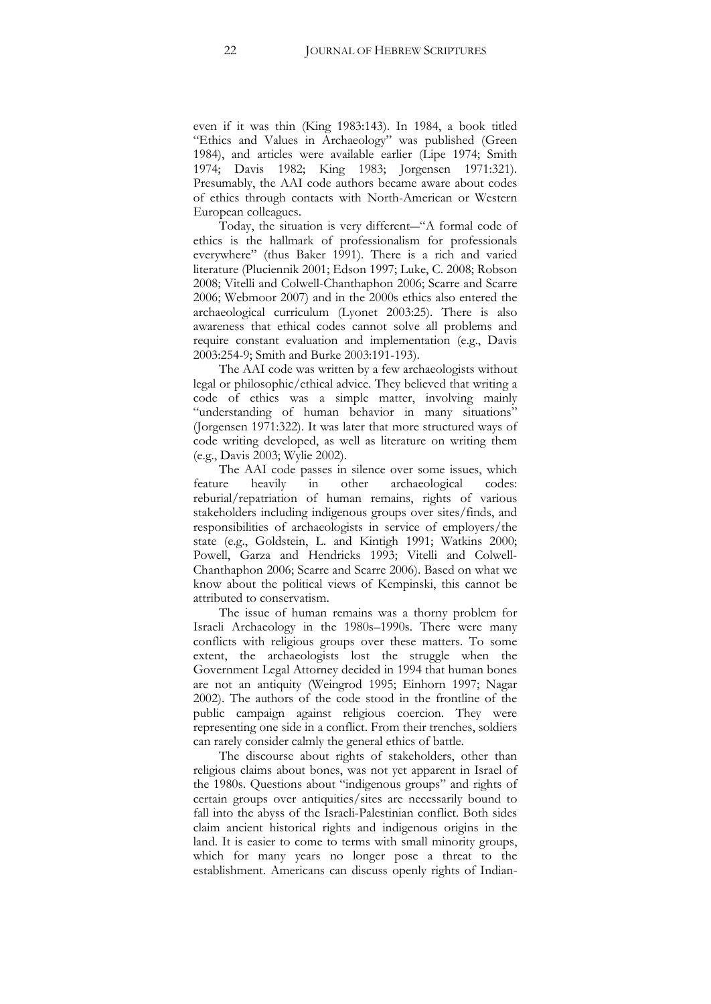even if it was thin (King 1983:143). In 1984, a book titled "Ethics and Values in Archaeology" was published (Green 1984), and articles were available earlier (Lipe 1974; Smith 1974; Davis 1982; King 1983; Jorgensen 1971:321). Presumably, the AAI code authors became aware about codes of ethics through contacts with North-American or Western European colleagues.

Today, the situation is very different—"A formal code of ethics is the hallmark of professionalism for professionals everywhere" (thus Baker 1991). There is a rich and varied literature (Pluciennik 2001; Edson 1997; Luke, C. 2008; Robson 2008; Vitelli and Colwell-Chanthaphon 2006; Scarre and Scarre 2006; Webmoor 2007) and in the 2000s ethics also entered the archaeological curriculum (Lyonet 2003:25). There is also awareness that ethical codes cannot solve all problems and require constant evaluation and implementation (e.g., Davis 2003:254-9; Smith and Burke 2003:191-193).

The AAI code was written by a few archaeologists without legal or philosophic/ethical advice. They believed that writing a code of ethics was a simple matter, involving mainly "understanding of human behavior in many situations" (Jorgensen 1971:322). It was later that more structured ways of code writing developed, as well as literature on writing them (e.g., Davis 2003; Wylie 2002).

The AAI code passes in silence over some issues, which feature heavily in other archaeological codes: reburial/repatriation of human remains, rights of various stakeholders including indigenous groups over sites/finds, and responsibilities of archaeologists in service of employers/the state (e.g., Goldstein, L. and Kintigh 1991; Watkins 2000; Powell, Garza and Hendricks 1993; Vitelli and Colwell-Chanthaphon 2006; Scarre and Scarre 2006). Based on what we know about the political views of Kempinski, this cannot be attributed to conservatism.

The issue of human remains was a thorny problem for Israeli Archaeology in the 1980s–1990s. There were many conflicts with religious groups over these matters. To some extent, the archaeologists lost the struggle when the Government Legal Attorney decided in 1994 that human bones are not an antiquity (Weingrod 1995; Einhorn 1997; Nagar 2002). The authors of the code stood in the frontline of the public campaign against religious coercion. They were representing one side in a conflict. From their trenches, soldiers can rarely consider calmly the general ethics of battle.

The discourse about rights of stakeholders, other than religious claims about bones, was not yet apparent in Israel of the 1980s. Questions about "indigenous groups" and rights of certain groups over antiquities/sites are necessarily bound to fall into the abyss of the Israeli-Palestinian conflict. Both sides claim ancient historical rights and indigenous origins in the land. It is easier to come to terms with small minority groups, which for many years no longer pose a threat to the establishment. Americans can discuss openly rights of Indian-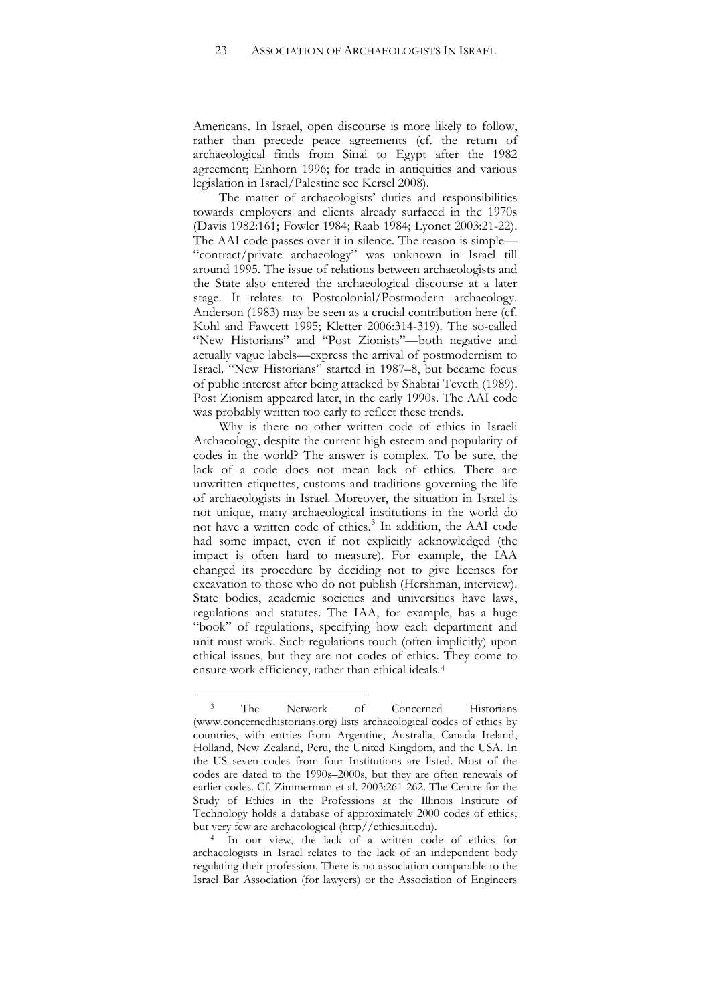Americans. In Israel, open discourse is more likely to follow, rather than precede peace agreements (cf. the return of archaeological finds from Sinai to Egypt after the 1982 agreement; Einhorn 1996; for trade in antiquities and various legislation in Israel/Palestine see Kersel 2008).

The matter of archaeologists' duties and responsibilities towards employers and clients already surfaced in the 1970s (Davis 1982:161; Fowler 1984; Raab 1984; Lyonet 2003:21-22). The AAI code passes over it in silence. The reason is simple— "contract/private archaeology" was unknown in Israel till around 1995. The issue of relations between archaeologists and the State also entered the archaeological discourse at a later stage. It relates to Postcolonial/Postmodern archaeology. Anderson (1983) may be seen as a crucial contribution here (cf. Kohl and Fawcett 1995; Kletter 2006:314-319). The so-called "New Historians" and "Post Zionists"—both negative and actually vague labels—express the arrival of postmodernism to Israel. "New Historians" started in 1987–8, but became focus of public interest after being attacked by Shabtai Teveth (1989). Post Zionism appeared later, in the early 1990s. The AAI code was probably written too early to reflect these trends.

Why is there no other written code of ethics in Israeli Archaeology, despite the current high esteem and popularity of codes in the world? The answer is complex. To be sure, the lack of a code does not mean lack of ethics. There are unwritten etiquettes, customs and traditions governing the life of archaeologists in Israel. Moreover, the situation in Israel is not unique, many archaeological institutions in the world do not have a written code of ethics. [3](#page-22-0) In addition, the AAI code had some impact, even if not explicitly acknowledged (the impact is often hard to measure). For example, the IAA changed its procedure by deciding not to give licenses for excavation to those who do not publish (Hershman, interview). State bodies, academic societies and universities have laws, regulations and statutes. The IAA, for example, has a huge "book" of regulations, specifying how each department and unit must work. Such regulations touch (often implicitly) upon ethical issues, but they are not codes of ethics. They come to ensure work efficiency, rather than ethical ideals.[4](#page-22-1)

<span id="page-22-1"></span>but very few are archaeological (http//ethics.iit.edu). 4 In our view, the lack of a written code of ethics for archaeologists in Israel relates to the lack of an independent body regulating their profession. There is no association comparable to the Israel Bar Association (for lawyers) or the Association of Engineers

<span id="page-22-0"></span><sup>&</sup>lt;sup>3</sup> The Network of Concerned Historians (www.concernedhistorians.org) lists archaeological codes of ethics by countries, with entries from Argentine, Australia, Canada Ireland, Holland, New Zealand, Peru, the United Kingdom, and the USA. In the US seven codes from four Institutions are listed. Most of the codes are dated to the 1990s–2000s, but they are often renewals of earlier codes. Cf. Zimmerman et al. 2003:261-262. The Centre for the Study of Ethics in the Professions at the Illinois Institute of Technology holds a database of approximately 2000 codes of ethics;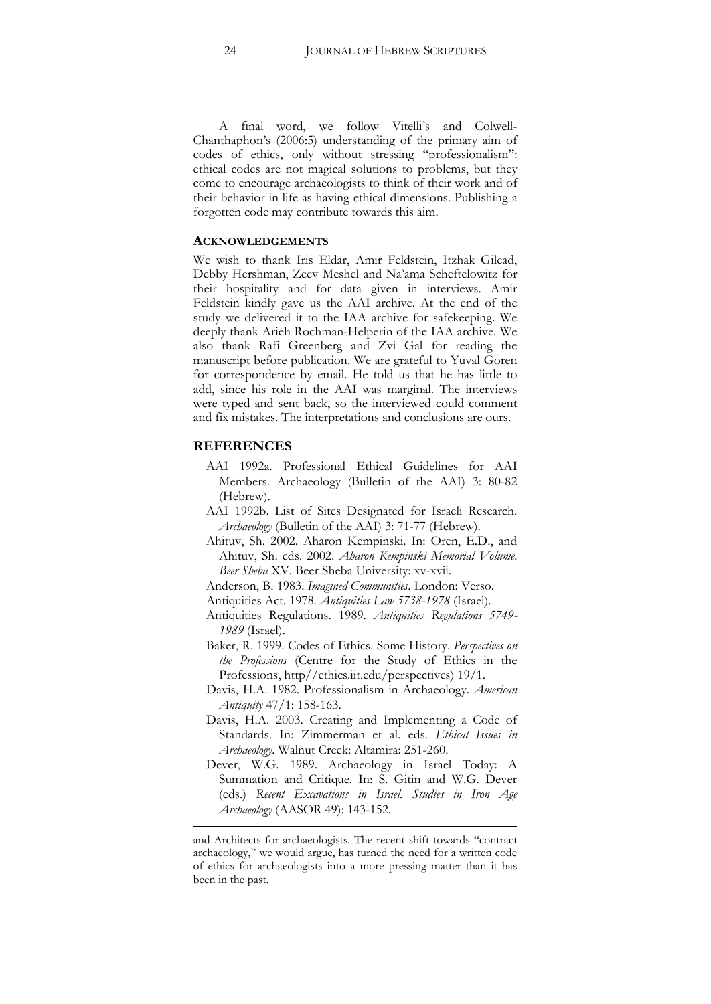A final word, we follow Vitelli's and Colwell-Chanthaphon's (2006:5) understanding of the primary aim of codes of ethics, only without stressing "professionalism": ethical codes are not magical solutions to problems, but they come to encourage archaeologists to think of their work and of their behavior in life as having ethical dimensions. Publishing a forgotten code may contribute towards this aim.

#### **ACKNOWLEDGEMENTS**

We wish to thank Iris Eldar, Amir Feldstein, Itzhak Gilead, Debby Hershman, Zeev Meshel and Na'ama Scheftelowitz for their hospitality and for data given in interviews. Amir Feldstein kindly gave us the AAI archive. At the end of the study we delivered it to the IAA archive for safekeeping. We deeply thank Arieh Rochman-Helperin of the IAA archive. We also thank Rafi Greenberg and Zvi Gal for reading the manuscript before publication. We are grateful to Yuval Goren for correspondence by email. He told us that he has little to add, since his role in the AAI was marginal. The interviews were typed and sent back, so the interviewed could comment and fix mistakes. The interpretations and conclusions are ours.

#### **REFERENCES**

**.** 

- AAI 1992a. Professional Ethical Guidelines for AAI Members. Archaeology (Bulletin of the AAI) 3: 80-82 (Hebrew).
- AAI 1992b. List of Sites Designated for Israeli Research. *Archaeology* (Bulletin of the AAI) 3: 71-77 (Hebrew).
- Ahituv, Sh. 2002. Aharon Kempinski. In: Oren, E.D., and Ahituv, Sh. eds. 2002. *Aharon Kempinski Memorial Volume*. *Beer Sheba* XV. Beer Sheba University: xv-xvii.
- Anderson, B. 1983. *Imagined Communities*. London: Verso.
- Antiquities Act. 1978. *Antiquities Law 5738-1978* (Israel).
- Antiquities Regulations. 1989. *Antiquities Regulations 5749- 1989* (Israel).
- Baker, R. 1999. Codes of Ethics. Some History. *Perspectives on the Professions* (Centre for the Study of Ethics in the Professions, http//ethics.iit.edu/perspectives) 19/1.
- Davis, H.A. 1982. Professionalism in Archaeology. *American Antiquity* 47/1: 158-163.
- Davis, H.A. 2003. Creating and Implementing a Code of Standards. In: Zimmerman et al. eds. *Ethical Issues in Archaeology.* Walnut Creek: Altamira: 251-260.
- Dever, W.G. 1989. Archaeology in Israel Today: A Summation and Critique. In: S. Gitin and W.G. Dever (eds.) *Recent Excavations in Israel. Studies in Iron Age Archaeology* (AASOR 49): 143-152.

and Architects for archaeologists. The recent shift towards "contract archaeology," we would argue, has turned the need for a written code of ethics for archaeologists into a more pressing matter than it has been in the past.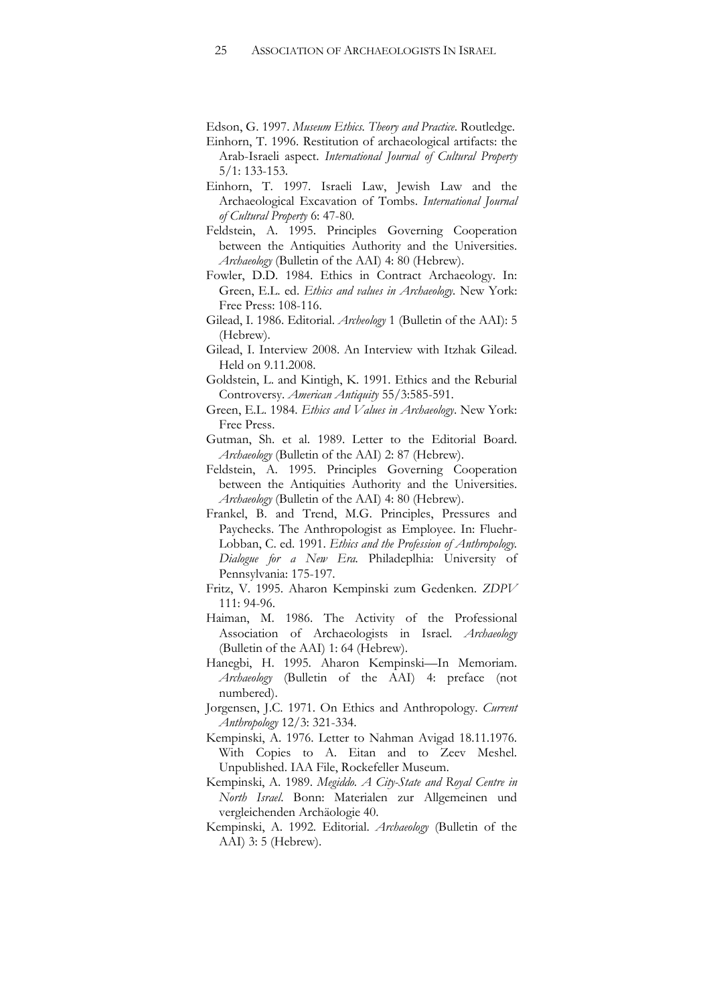Edson, G. 1997. *Museum Ethics. Theory and Practice*. Routledge.

- Einhorn, T. 1996. Restitution of archaeological artifacts: the Arab-Israeli aspect. *International Journal of Cultural Property* 5/1: 133-153.
- Einhorn, T. 1997. Israeli Law, Jewish Law and the Archaeological Excavation of Tombs. *International Journal of Cultural Property* 6: 47-80.
- Feldstein, A. 1995. Principles Governing Cooperation between the Antiquities Authority and the Universities. *Archaeology* (Bulletin of the AAI) 4: 80 (Hebrew).
- Fowler, D.D. 1984. Ethics in Contract Archaeology. In: Green, E.L. ed. *Ethics and values in Archaeology.* New York: Free Press: 108-116.
- Gilead, I. 1986. Editorial. *Archeology* 1 (Bulletin of the AAI): 5 (Hebrew).
- Gilead, I. Interview 2008. An Interview with Itzhak Gilead. Held on 9.11.2008.
- Goldstein, L. and Kintigh, K. 1991. Ethics and the Reburial Controversy. *American Antiquity* 55/3:585-591.
- Green, E.L. 1984. *Ethics and Values in Archaeology*. New York: Free Press.
- Gutman, Sh. et al. 1989. Letter to the Editorial Board. *Archaeology* (Bulletin of the AAI) 2: 87 (Hebrew).
- Feldstein, A. 1995. Principles Governing Cooperation between the Antiquities Authority and the Universities. *Archaeology* (Bulletin of the AAI) 4: 80 (Hebrew).
- Frankel, B. and Trend, M.G. Principles, Pressures and Paychecks. The Anthropologist as Employee. In: Fluehr-Lobban, C. ed. 1991. *Ethics and the Profession of Anthropology. Dialogue for a New Era.* Philadeplhia: University of Pennsylvania: 175-197.
- Fritz, V. 1995. Aharon Kempinski zum Gedenken. *ZDPV* 111: 94-96.
- Haiman, M. 1986. The Activity of the Professional Association of Archaeologists in Israel. *Archaeology* (Bulletin of the AAI) 1: 64 (Hebrew).
- Hanegbi, H. 1995. Aharon Kempinski—In Memoriam. *Archaeology* (Bulletin of the AAI) 4: preface (not numbered).
- Jorgensen, J.C. 1971. On Ethics and Anthropology. *Current Anthropology* 12/3: 321-334.
- Kempinski, A. 1976. Letter to Nahman Avigad 18.11.1976. With Copies to A. Eitan and to Zeev Meshel. Unpublished. IAA File, Rockefeller Museum.
- Kempinski, A. 1989. *Megiddo. A City-State and Royal Centre in North Israel*. Bonn: Materialen zur Allgemeinen und vergleichenden Archäologie 40.
- Kempinski, A. 1992. Editorial. *Archaeology* (Bulletin of the AAI) 3: 5 (Hebrew).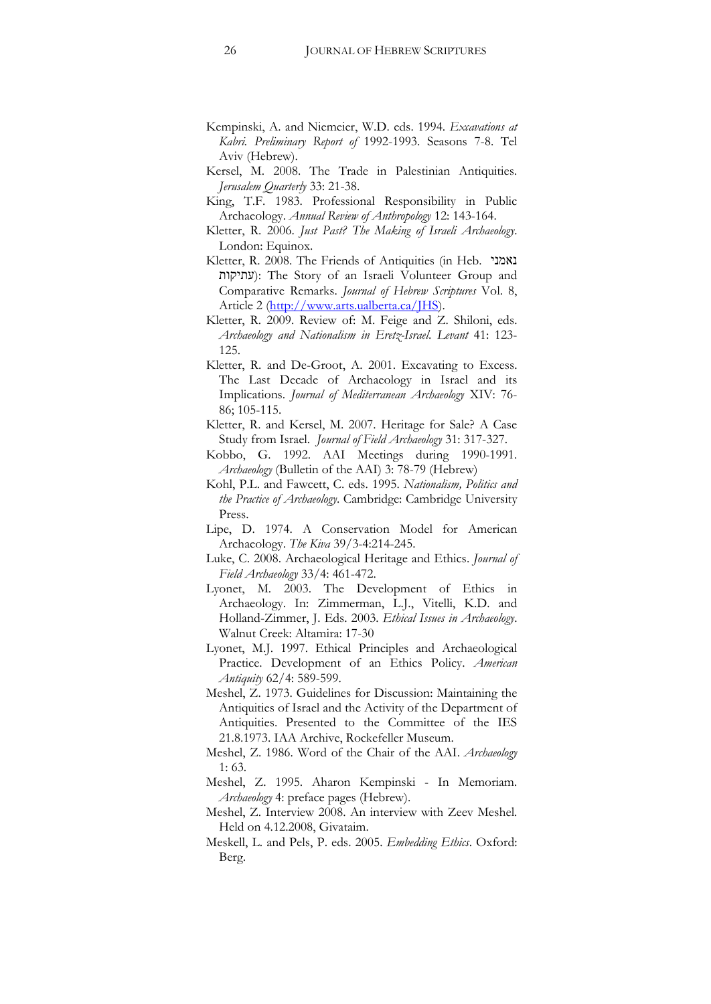- Kempinski, A. and Niemeier, W.D. eds. 1994. *Excavations at Kabri. Preliminary Report of* 1992-1993. Seasons 7-8. Tel Aviv (Hebrew).
- Kersel, M. 2008. The Trade in Palestinian Antiquities. *Jerusalem Quarterly* 33: 21-38.
- King, T.F. 1983. Professional Responsibility in Public Archaeology. *Annual Review of Anthropology* 12: 143-164.
- Kletter, R. 2006. *Just Past? The Making of Israeli Archaeology*. London: Equinox.
- Kletter, R. 2008. The Friends of Antiquities (in Heb. נאמני ʺʥʷʩʺʲ): The Story of an Israeli Volunteer Group and Comparative Remarks. *Journal of Hebrew Scriptures* Vol. 8, Article 2 [\(http://www.arts.ualberta.ca/JHS\)](http://www.arts.ualberta.ca/JHS).
- Kletter, R. 2009. Review of: M. Feige and Z. Shiloni, eds. *Archaeology and Nationalism in Eretz-Israel*. *Levant* 41: 123- 125.
- Kletter, R. and De-Groot, A. 2001. Excavating to Excess. The Last Decade of Archaeology in Israel and its Implications. *Journal of Mediterranean Archaeology* XIV: 76- 86; 105-115.
- Kletter, R. and Kersel, M. 2007. Heritage for Sale? A Case Study from Israel. *Journal of Field Archaeology* 31: 317-327.
- Kobbo, G. 1992. AAI Meetings during 1990-1991. *Archaeology* (Bulletin of the AAI) 3: 78-79 (Hebrew)
- Kohl, P.L. and Fawcett, C. eds. 1995. *Nationalism, Politics and the Practice of Archaeology*. Cambridge: Cambridge University Press.
- Lipe, D. 1974. A Conservation Model for American Archaeology. *The Kiva* 39/3-4:214-245.
- Luke, C. 2008. Archaeological Heritage and Ethics. *Journal of Field Archaeology* 33/4: 461-472.
- Lyonet, M. 2003. The Development of Ethics in Archaeology. In: Zimmerman, L.J., Vitelli, K.D. and Holland-Zimmer, J. Eds. 2003. *Ethical Issues in Archaeology*. Walnut Creek: Altamira: 17-30
- Lyonet, M.J. 1997. Ethical Principles and Archaeological Practice. Development of an Ethics Policy. *American Antiquity* 62/4: 589-599.
- Meshel, Z. 1973. Guidelines for Discussion: Maintaining the Antiquities of Israel and the Activity of the Department of Antiquities. Presented to the Committee of the IES 21.8.1973. IAA Archive, Rockefeller Museum.
- Meshel, Z. 1986. Word of the Chair of the AAI. *Archaeology* 1: 63.
- Meshel, Z. 1995. Aharon Kempinski In Memoriam. *Archaeology* 4: preface pages (Hebrew).
- Meshel, Z. Interview 2008. An interview with Zeev Meshel. Held on 4.12.2008, Givataim.
- Meskell, L. and Pels, P. eds. 2005. *Embedding Ethics*. Oxford: Berg.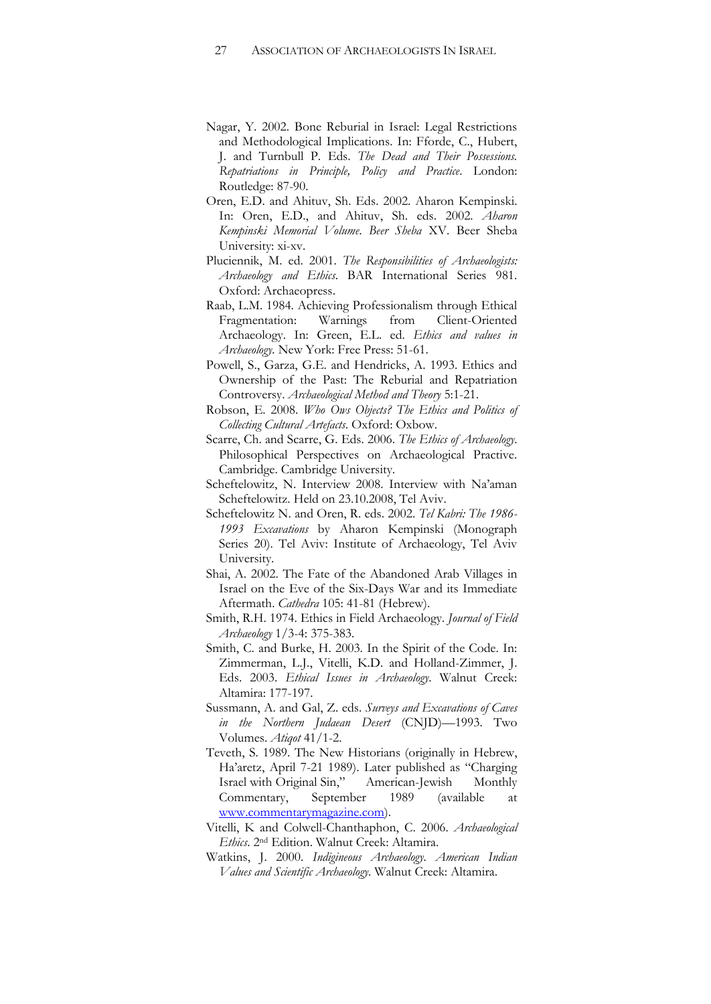- Nagar, Y. 2002. Bone Reburial in Israel: Legal Restrictions and Methodological Implications. In: Fforde, C., Hubert, J. and Turnbull P. Eds. *The Dead and Their Possessions. Repatriations in Principle, Policy and Practice*. London: Routledge: 87-90.
- Oren, E.D. and Ahituv, Sh. Eds. 2002. Aharon Kempinski. In: Oren, E.D., and Ahituv, Sh. eds. 2002. *Aharon Kempinski Memorial Volume*. *Beer Sheba* XV. Beer Sheba University: xi-xv.
- Pluciennik, M. ed. 2001. *The Responsibilities of Archaeologists: Archaeology and Ethics*. BAR International Series 981. Oxford: Archaeopress.
- Raab, L.M. 1984. Achieving Professionalism through Ethical Fragmentation: Warnings from Client-Oriented Archaeology. In: Green, E.L. ed. *Ethics and values in Archaeology.* New York: Free Press: 51-61.
- Powell, S., Garza, G.E. and Hendricks, A. 1993. Ethics and Ownership of the Past: The Reburial and Repatriation Controversy. *Archaeological Method and Theory* 5:1-21.
- Robson, E. 2008. *Who Ows Objects? The Ethics and Politics of Collecting Cultural Artefacts*. Oxford: Oxbow.
- Scarre, Ch. and Scarre, G. Eds. 2006. *The Ethics of Archaeology*. Philosophical Perspectives on Archaeological Practive. Cambridge. Cambridge University.
- Scheftelowitz, N. Interview 2008. Interview with Na'aman Scheftelowitz. Held on 23.10.2008, Tel Aviv.
- Scheftelowitz N. and Oren, R. eds. 2002. *Tel Kabri: The 1986- 1993 Excavations* by Aharon Kempinski (Monograph Series 20). Tel Aviv: Institute of Archaeology, Tel Aviv University.
- Shai, A. 2002. The Fate of the Abandoned Arab Villages in Israel on the Eve of the Six-Days War and its Immediate Aftermath. *Cathedra* 105: 41-81 (Hebrew).
- Smith, R.H. 1974. Ethics in Field Archaeology. *Journal of Field Archaeology* 1/3-4: 375-383.
- Smith, C. and Burke, H. 2003. In the Spirit of the Code. In: Zimmerman, L.J., Vitelli, K.D. and Holland-Zimmer, J. Eds. 2003. *Ethical Issues in Archaeology*. Walnut Creek: Altamira: 177-197.
- Sussmann, A. and Gal, Z. eds. *Surveys and Excavations of Caves in the Northern Judaean Desert* (CNJD)—1993. Two Volumes. *Atiqot* 41/1-2.
- Teveth, S. 1989. The New Historians (originally in Hebrew, Ha'aretz, April 7-21 1989). Later published as "Charging Israel with Original Sin," American-Jewish Monthly Commentary, September 1989 (available at [www.commentarymagazine.com\)](http://www.commentarymagazine.com/).
- Vitelli, K and Colwell-Chanthaphon, C. 2006. *Archaeological Ethics*. 2nd Edition. Walnut Creek: Altamira.
- Watkins, J. 2000. *Indigineous Archaeology. American Indian Values and Scientific Archaeology*. Walnut Creek: Altamira.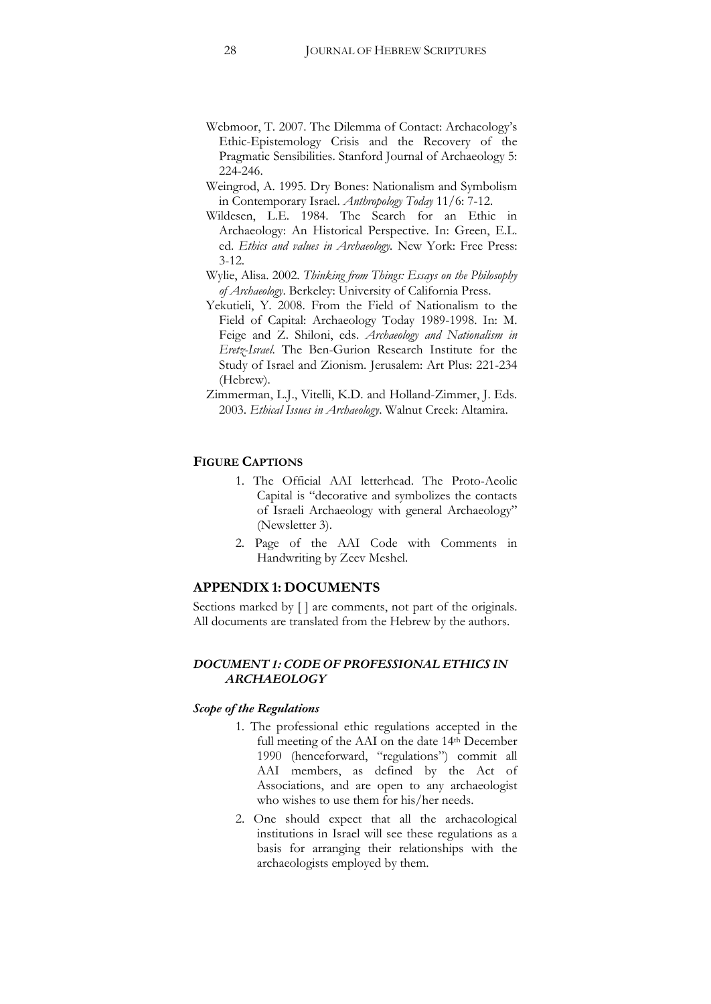- Webmoor, T. 2007. The Dilemma of Contact: Archaeology's Ethic-Epistemology Crisis and the Recovery of the Pragmatic Sensibilities. Stanford Journal of Archaeology 5: 224-246.
- Weingrod, A. 1995. Dry Bones: Nationalism and Symbolism in Contemporary Israel. *Anthropology Today* 11/6: 7-12.
- Wildesen, L.E. 1984. The Search for an Ethic in Archaeology: An Historical Perspective. In: Green, E.L. ed. *Ethics and values in Archaeology.* New York: Free Press: 3-12.
- Wylie, Alisa. 2002. *Thinking from Things: Essays on the Philosophy of Archaeology*. Berkeley: University of California Press.
- Yekutieli, Y. 2008. From the Field of Nationalism to the Field of Capital: Archaeology Today 1989-1998. In: M. Feige and Z. Shiloni, eds. *Archaeology and Nationalism in Eretz-Israel*. The Ben-Gurion Research Institute for the Study of Israel and Zionism. Jerusalem: Art Plus: 221-234 (Hebrew).
- Zimmerman, L.J., Vitelli, K.D. and Holland-Zimmer, J. Eds. 2003. *Ethical Issues in Archaeology*. Walnut Creek: Altamira.

#### **FIGURE CAPTIONS**

- 1. The Official AAI letterhead. The Proto-Aeolic Capital is "decorative and symbolizes the contacts of Israeli Archaeology with general Archaeology" (Newsletter 3).
- 2. Page of the AAI Code with Comments in Handwriting by Zeev Meshel.

## **APPENDIX 1: DOCUMENTS**

Sections marked by  $[ \ ]$  are comments, not part of the originals. All documents are translated from the Hebrew by the authors.

## *DOCUMENT 1: CODE OF PROFESSIONAL ETHICS IN ARCHAEOLOGY*

#### *Scope of the Regulations*

- 1. The professional ethic regulations accepted in the full meeting of the AAI on the date 14<sup>th</sup> December 1990 (henceforward, "regulations") commit all AAI members, as defined by the Act of Associations, and are open to any archaeologist who wishes to use them for his/her needs.
- 2. One should expect that all the archaeological institutions in Israel will see these regulations as a basis for arranging their relationships with the archaeologists employed by them.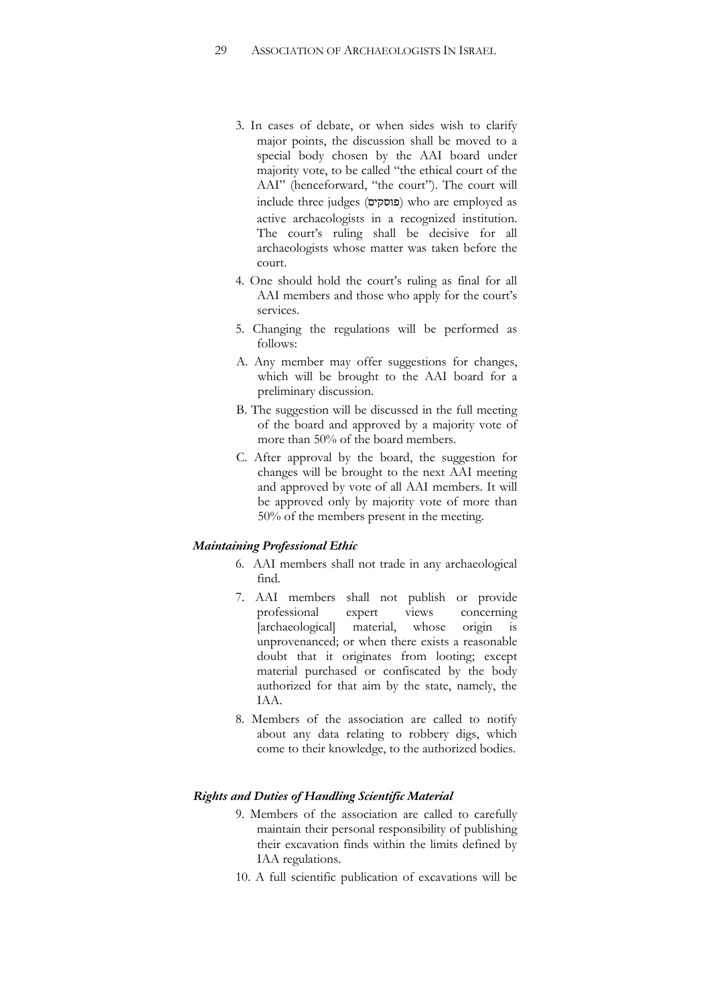- 3. In cases of debate, or when sides wish to clarify major points, the discussion shall be moved to a special body chosen by the AAI board under majority vote, to be called "the ethical court of the AAI" (henceforward, "the court"). The court will include three judges (פוסקים) who are employed as active archaeologists in a recognized institution. The court's ruling shall be decisive for all archaeologists whose matter was taken before the court.
- 4. One should hold the court's ruling as final for all AAI members and those who apply for the court's services.
- 5. Changing the regulations will be performed as follows:
- A. Any member may offer suggestions for changes, which will be brought to the AAI board for a preliminary discussion.
- B. The suggestion will be discussed in the full meeting of the board and approved by a majority vote of more than 50% of the board members.
- C. After approval by the board, the suggestion for changes will be brought to the next AAI meeting and approved by vote of all AAI members. It will be approved only by majority vote of more than 50% of the members present in the meeting.

#### *Maintaining Professional Ethic*

- 6. AAI members shall not trade in any archaeological find.
- 7. AAI members shall not publish or provide professional expert views concerning [archaeological] material, whose origin is unprovenanced; or when there exists a reasonable doubt that it originates from looting; except material purchased or confiscated by the body authorized for that aim by the state, namely, the IAA.
- 8. Members of the association are called to notify about any data relating to robbery digs, which come to their knowledge, to the authorized bodies.

#### *Rights and Duties of Handling Scientific Material*

- 9. Members of the association are called to carefully maintain their personal responsibility of publishing their excavation finds within the limits defined by IAA regulations.
- 10. A full scientific publication of excavations will be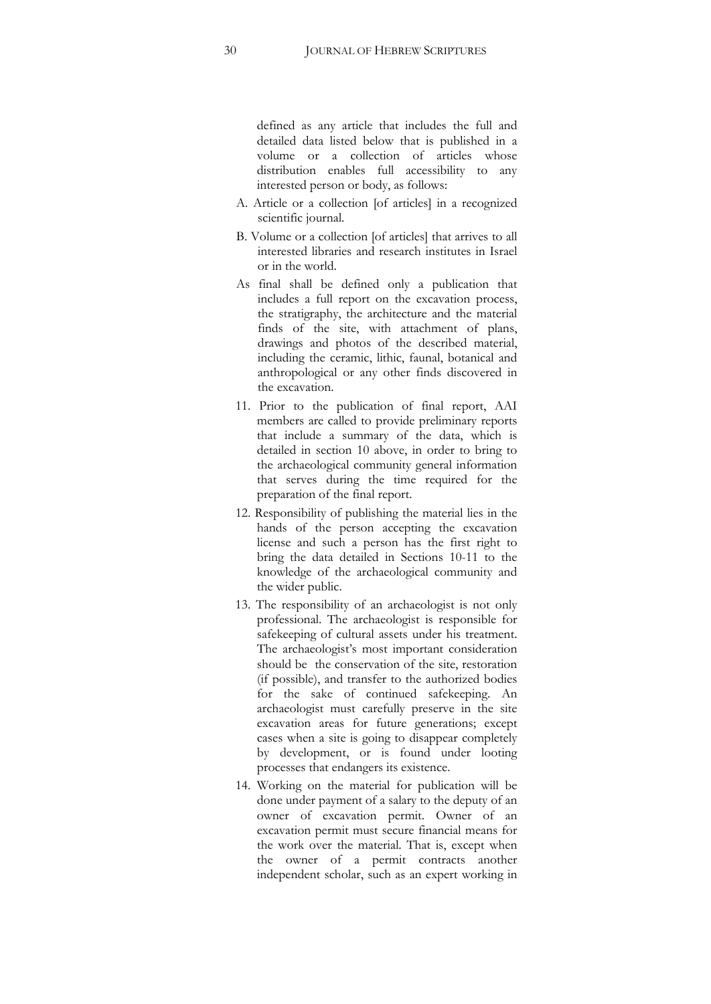defined as any article that includes the full and detailed data listed below that is published in a volume or a collection of articles whose distribution enables full accessibility to any interested person or body, as follows:

- A. Article or a collection [of articles] in a recognized scientific journal.
- B. Volume or a collection [of articles] that arrives to all interested libraries and research institutes in Israel or in the world.
- As final shall be defined only a publication that includes a full report on the excavation process, the stratigraphy, the architecture and the material finds of the site, with attachment of plans, drawings and photos of the described material, including the ceramic, lithic, faunal, botanical and anthropological or any other finds discovered in the excavation.
- 11. Prior to the publication of final report, AAI members are called to provide preliminary reports that include a summary of the data, which is detailed in section 10 above, in order to bring to the archaeological community general information that serves during the time required for the preparation of the final report.
- 12. Responsibility of publishing the material lies in the hands of the person accepting the excavation license and such a person has the first right to bring the data detailed in Sections 10-11 to the knowledge of the archaeological community and the wider public.
- 13. The responsibility of an archaeologist is not only professional. The archaeologist is responsible for safekeeping of cultural assets under his treatment. The archaeologist's most important consideration should be the conservation of the site, restoration (if possible), and transfer to the authorized bodies for the sake of continued safekeeping. An archaeologist must carefully preserve in the site excavation areas for future generations; except cases when a site is going to disappear completely by development, or is found under looting processes that endangers its existence.
- 14. Working on the material for publication will be done under payment of a salary to the deputy of an owner of excavation permit. Owner of an excavation permit must secure financial means for the work over the material. That is, except when the owner of a permit contracts another independent scholar, such as an expert working in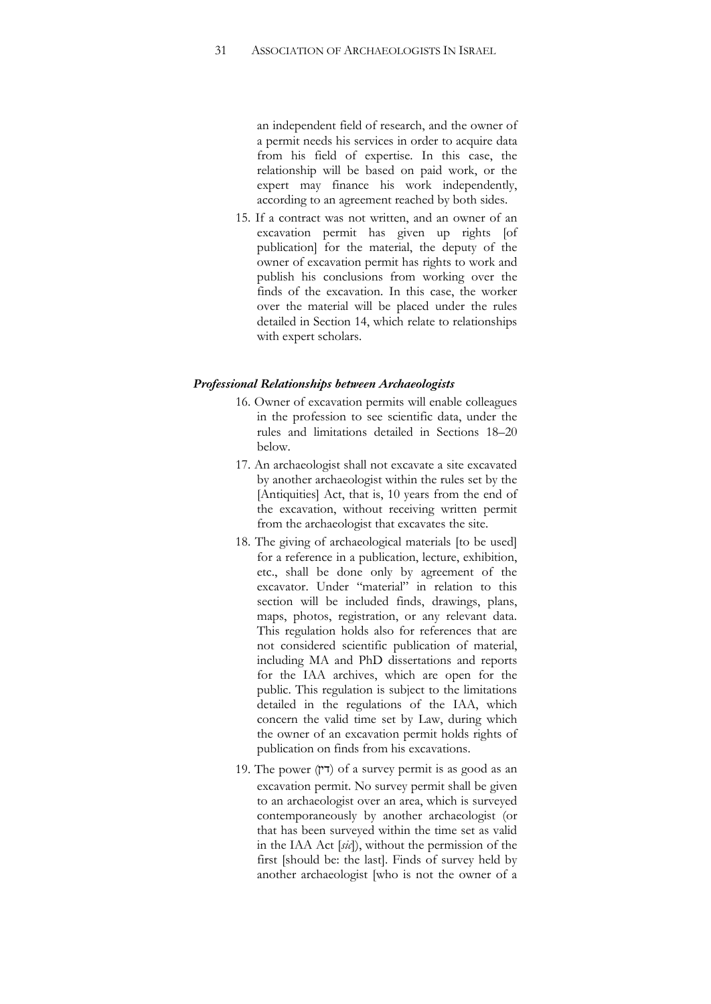an independent field of research, and the owner of a permit needs his services in order to acquire data from his field of expertise. In this case, the relationship will be based on paid work, or the expert may finance his work independently, according to an agreement reached by both sides.

15. If a contract was not written, and an owner of an excavation permit has given up rights [of publication] for the material, the deputy of the owner of excavation permit has rights to work and publish his conclusions from working over the finds of the excavation. In this case, the worker over the material will be placed under the rules detailed in Section 14, which relate to relationships with expert scholars.

#### *Professional Relationships between Archaeologists*

- 16. Owner of excavation permits will enable colleagues in the profession to see scientific data, under the rules and limitations detailed in Sections 18–20 below.
- 17. An archaeologist shall not excavate a site excavated by another archaeologist within the rules set by the [Antiquities] Act, that is, 10 years from the end of the excavation, without receiving written permit from the archaeologist that excavates the site.
- 18. The giving of archaeological materials [to be used] for a reference in a publication, lecture, exhibition, etc., shall be done only by agreement of the excavator. Under "material" in relation to this section will be included finds, drawings, plans, maps, photos, registration, or any relevant data. This regulation holds also for references that are not considered scientific publication of material, including MA and PhD dissertations and reports for the IAA archives, which are open for the public. This regulation is subject to the limitations detailed in the regulations of the IAA, which concern the valid time set by Law, during which the owner of an excavation permit holds rights of publication on finds from his excavations.
- 19. The power (ד $(7)$ ) of a survey permit is as good as an excavation permit. No survey permit shall be given to an archaeologist over an area, which is surveyed contemporaneously by another archaeologist (or that has been surveyed within the time set as valid in the IAA Act [*sic*]), without the permission of the first [should be: the last]. Finds of survey held by another archaeologist [who is not the owner of a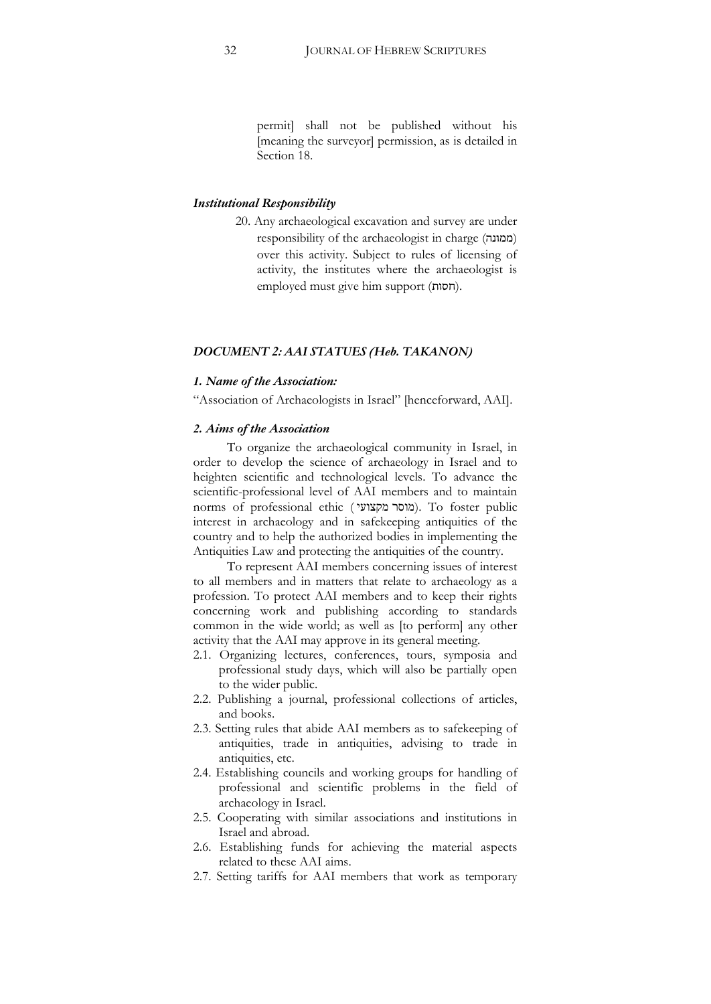permit] shall not be published without his [meaning the surveyor] permission, as is detailed in Section 18.

#### *Institutional Responsibility*

20. Any archaeological excavation and survey are under responsibility of the archaeologist in charge (ממונה) over this activity. Subject to rules of licensing of activity, the institutes where the archaeologist is employed must give him support (חסות).

#### *DOCUMENT 2: AAI STATUES (Heb. TAKANON)*

#### *1. Name of the Association:*

"Association of Archaeologists in Israel" [henceforward, AAI].

#### *2. Aims of the Association*

To organize the archaeological community in Israel, in order to develop the science of archaeology in Israel and to heighten scientific and technological levels. To advance the scientific-professional level of AAI members and to maintain norms of professional ethic (מוסר מקצועי). To foster public interest in archaeology and in safekeeping antiquities of the country and to help the authorized bodies in implementing the Antiquities Law and protecting the antiquities of the country.

To represent AAI members concerning issues of interest to all members and in matters that relate to archaeology as a profession. To protect AAI members and to keep their rights concerning work and publishing according to standards common in the wide world; as well as [to perform] any other activity that the AAI may approve in its general meeting.

- 2.1. Organizing lectures, conferences, tours, symposia and professional study days, which will also be partially open to the wider public.
- 2.2. Publishing a journal, professional collections of articles, and books.
- 2.3. Setting rules that abide AAI members as to safekeeping of antiquities, trade in antiquities, advising to trade in antiquities, etc.
- 2.4. Establishing councils and working groups for handling of professional and scientific problems in the field of archaeology in Israel.
- 2.5. Cooperating with similar associations and institutions in Israel and abroad.
- 2.6. Establishing funds for achieving the material aspects related to these AAI aims.
- 2.7. Setting tariffs for AAI members that work as temporary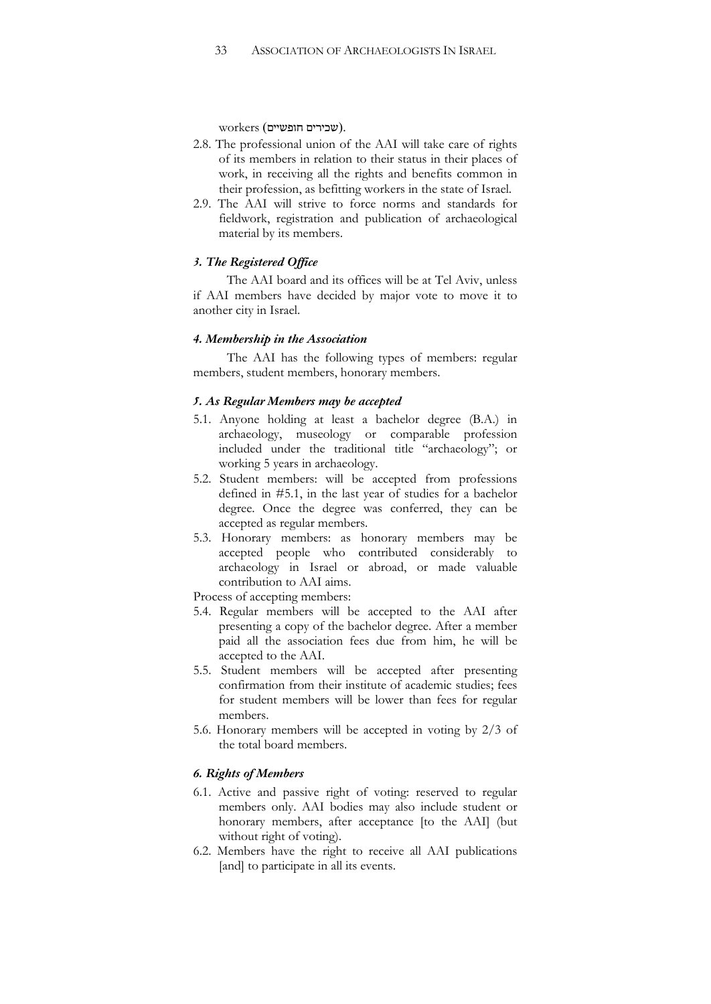$\text{workers}$  (שכירים חופשיים).

- 2.8. The professional union of the AAI will take care of rights of its members in relation to their status in their places of work, in receiving all the rights and benefits common in their profession, as befitting workers in the state of Israel.
- 2.9. The AAI will strive to force norms and standards for fieldwork, registration and publication of archaeological material by its members.

#### *3. The Registered Office*

The AAI board and its offices will be at Tel Aviv, unless if AAI members have decided by major vote to move it to another city in Israel.

#### *4. Membership in the Association*

The AAI has the following types of members: regular members, student members, honorary members.

#### *5. As Regular Members may be accepted*

- 5.1. Anyone holding at least a bachelor degree (B.A.) in archaeology, museology or comparable profession included under the traditional title "archaeology"; or working 5 years in archaeology.
- 5.2. Student members: will be accepted from professions defined in #5.1, in the last year of studies for a bachelor degree. Once the degree was conferred, they can be accepted as regular members.
- 5.3. Honorary members: as honorary members may be accepted people who contributed considerably to archaeology in Israel or abroad, or made valuable contribution to AAI aims.

Process of accepting members:

- 5.4. Regular members will be accepted to the AAI after presenting a copy of the bachelor degree. After a member paid all the association fees due from him, he will be accepted to the AAI.
- 5.5. Student members will be accepted after presenting confirmation from their institute of academic studies; fees for student members will be lower than fees for regular members.
- 5.6. Honorary members will be accepted in voting by 2/3 of the total board members.

## *6. Rights of Members*

- 6.1. Active and passive right of voting: reserved to regular members only. AAI bodies may also include student or honorary members, after acceptance [to the AAI] (but without right of voting).
- 6.2. Members have the right to receive all AAI publications [and] to participate in all its events.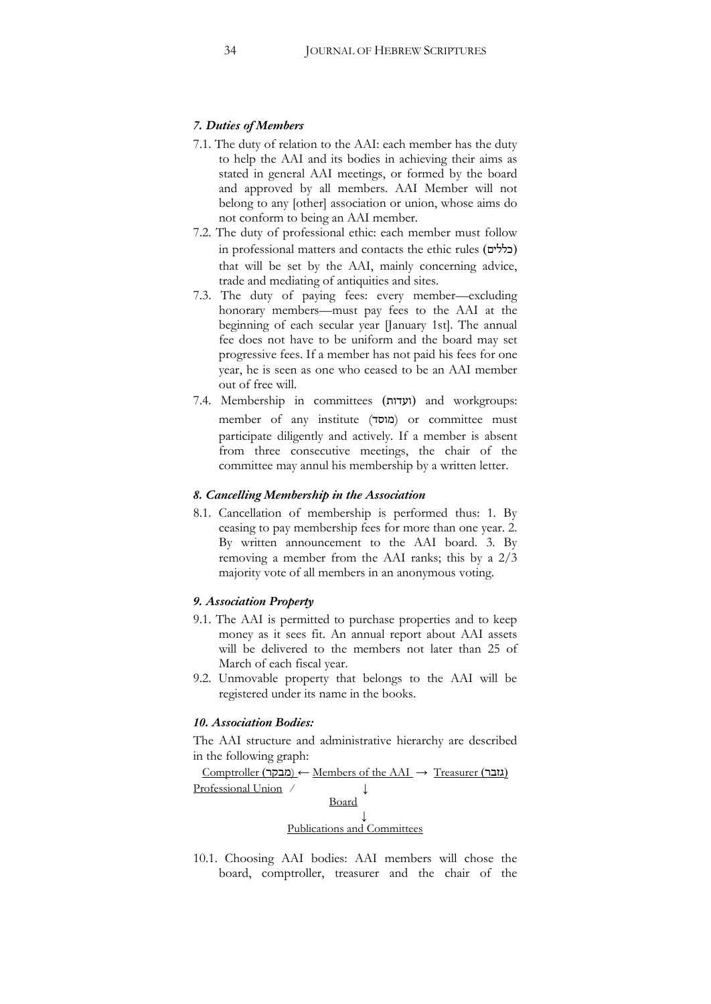#### *7. Duties of Members*

- 7.1. The duty of relation to the AAI: each member has the duty to help the AAI and its bodies in achieving their aims as stated in general AAI meetings, or formed by the board and approved by all members. AAI Member will not belong to any [other] association or union, whose aims do not conform to being an AAI member.
- 7.2. The duty of professional ethic: each member must follow  $\sim$ in professional matters and contacts the ethic rules (בללים) that will be set by the AAI, mainly concerning advice, trade and mediating of antiquities and sites.
- 7.3. The duty of paying fees: every member—excluding honorary members—must pay fees to the AAI at the beginning of each secular year [January 1st]. The annual fee does not have to be uniform and the board may set progressive fees. If a member has not paid his fees for one year, he is seen as one who ceased to be an AAI member out of free will.
- 7.4. Membership in committees (ועדות) and workgroups: member of any institute (2#/) or committee must participate diligently and actively. If a member is absent from three consecutive meetings, the chair of the committee may annul his membership by a written letter.

#### *8. Cancelling Membership in the Association*

8.1. Cancellation of membership is performed thus: 1. By ceasing to pay membership fees for more than one year. 2. By written announcement to the AAI board. 3. By removing a member from the AAI ranks; this by a  $2/3$ majority vote of all members in an anonymous voting.

#### *9. Association Property*

- 9.1. The AAI is permitted to purchase properties and to keep money as it sees fit. An annual report about AAI assets will be delivered to the members not later than 25 of March of each fiscal year.
- 9.2. Unmovable property that belongs to the AAI will be registered under its name in the books.

#### *10. Association Bodies:*

The AAI structure and administrative hierarchy are described in the following graph:

 $Comptroller$  (מבקר) ← Members of the AAI → Treasurer ( $\text{min}$ ) Professional Union / Board  $\downarrow$ Publications and Committees

10.1. Choosing AAI bodies: AAI members will chose the board, comptroller, treasurer and the chair of the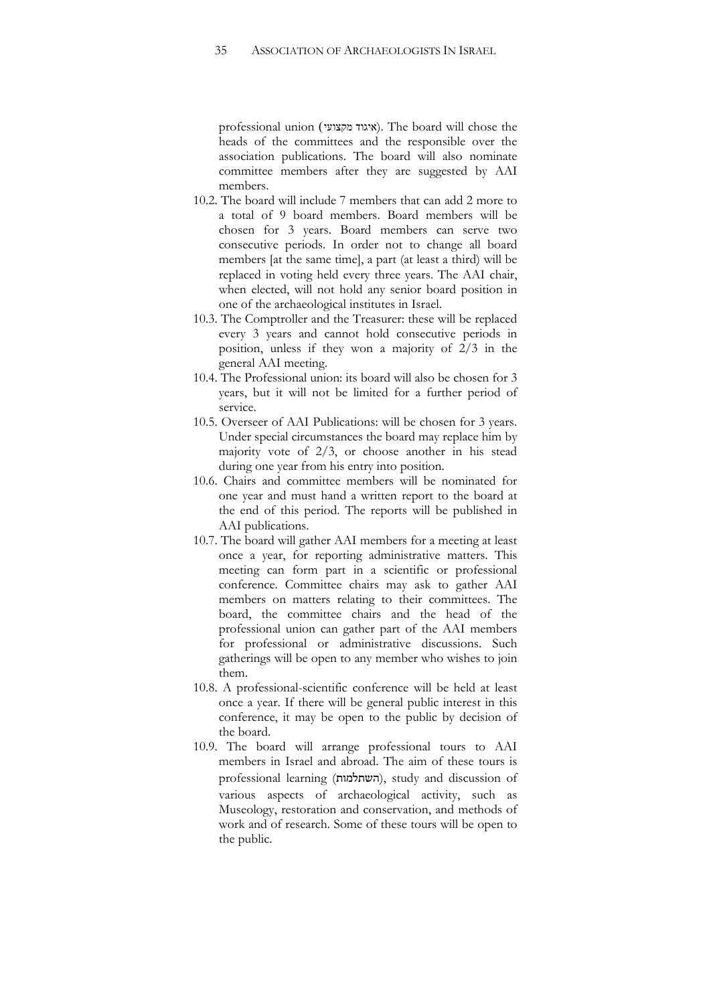professional union (ʩʲʥʶʷʮʣʥʢʩʠ). The board will chose the heads of the committees and the responsible over the association publications. The board will also nominate committee members after they are suggested by AAI members.

- 10.2. The board will include 7 members that can add 2 more to a total of 9 board members. Board members will be chosen for 3 years. Board members can serve two consecutive periods. In order not to change all board members [at the same time], a part (at least a third) will be replaced in voting held every three years. The AAI chair, when elected, will not hold any senior board position in one of the archaeological institutes in Israel.
- 10.3. The Comptroller and the Treasurer: these will be replaced every 3 years and cannot hold consecutive periods in position, unless if they won a majority of 2/3 in the general AAI meeting.
- 10.4. The Professional union: its board will also be chosen for 3 years, but it will not be limited for a further period of service.
- 10.5. Overseer of AAI Publications: will be chosen for 3 years. Under special circumstances the board may replace him by majority vote of  $2/3$ , or choose another in his stead during one year from his entry into position.
- 10.6. Chairs and committee members will be nominated for one year and must hand a written report to the board at the end of this period. The reports will be published in AAI publications.
- 10.7. The board will gather AAI members for a meeting at least once a year, for reporting administrative matters. This meeting can form part in a scientific or professional conference. Committee chairs may ask to gather AAI members on matters relating to their committees. The board, the committee chairs and the head of the professional union can gather part of the AAI members for professional or administrative discussions. Such gatherings will be open to any member who wishes to join them.
- 10.8. A professional-scientific conference will be held at least once a year. If there will be general public interest in this conference, it may be open to the public by decision of the board.
- 10.9. The board will arrange professional tours to AAI members in Israel and abroad. The aim of these tours is professional learning (השתלמות), study and discussion of various aspects of archaeological activity, such as Museology, restoration and conservation, and methods of work and of research. Some of these tours will be open to the public.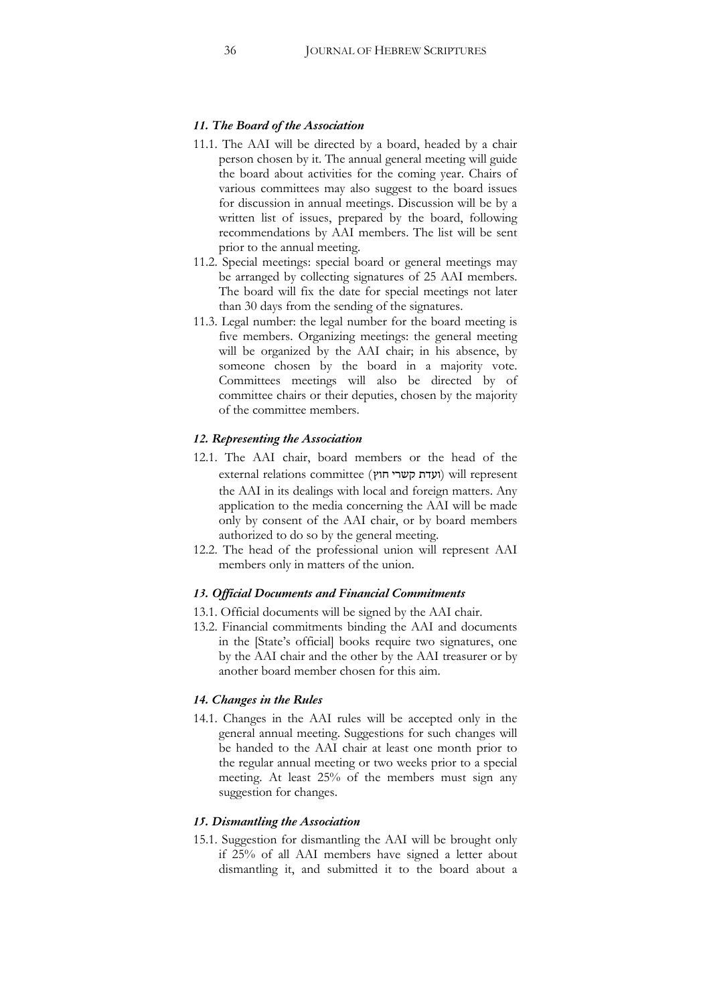#### *11. The Board of the Association*

- 11.1. The AAI will be directed by a board, headed by a chair person chosen by it. The annual general meeting will guide the board about activities for the coming year. Chairs of various committees may also suggest to the board issues for discussion in annual meetings. Discussion will be by a written list of issues, prepared by the board, following recommendations by AAI members. The list will be sent prior to the annual meeting.
- 11.2. Special meetings: special board or general meetings may be arranged by collecting signatures of 25 AAI members. The board will fix the date for special meetings not later than 30 days from the sending of the signatures.
- 11.3. Legal number: the legal number for the board meeting is five members. Organizing meetings: the general meeting will be organized by the AAI chair; in his absence, by someone chosen by the board in a majority vote. Committees meetings will also be directed by of committee chairs or their deputies, chosen by the majority of the committee members.

#### *12. Representing the Association*

- 12.1. The AAI chair, board members or the head of the external relations committee (ועדת קשרי חוץ) will represent the AAI in its dealings with local and foreign matters. Any application to the media concerning the AAI will be made only by consent of the AAI chair, or by board members authorized to do so by the general meeting.
- 12.2. The head of the professional union will represent AAI members only in matters of the union.

#### *13. Official Documents and Financial Commitments*

- 13.1. Official documents will be signed by the AAI chair.
- 13.2. Financial commitments binding the AAI and documents in the [State's official] books require two signatures, one by the AAI chair and the other by the AAI treasurer or by another board member chosen for this aim.

#### *14. Changes in the Rules*

14.1. Changes in the AAI rules will be accepted only in the general annual meeting. Suggestions for such changes will be handed to the AAI chair at least one month prior to the regular annual meeting or two weeks prior to a special meeting. At least 25% of the members must sign any suggestion for changes.

#### *15. Dismantling the Association*

15.1. Suggestion for dismantling the AAI will be brought only if 25% of all AAI members have signed a letter about dismantling it, and submitted it to the board about a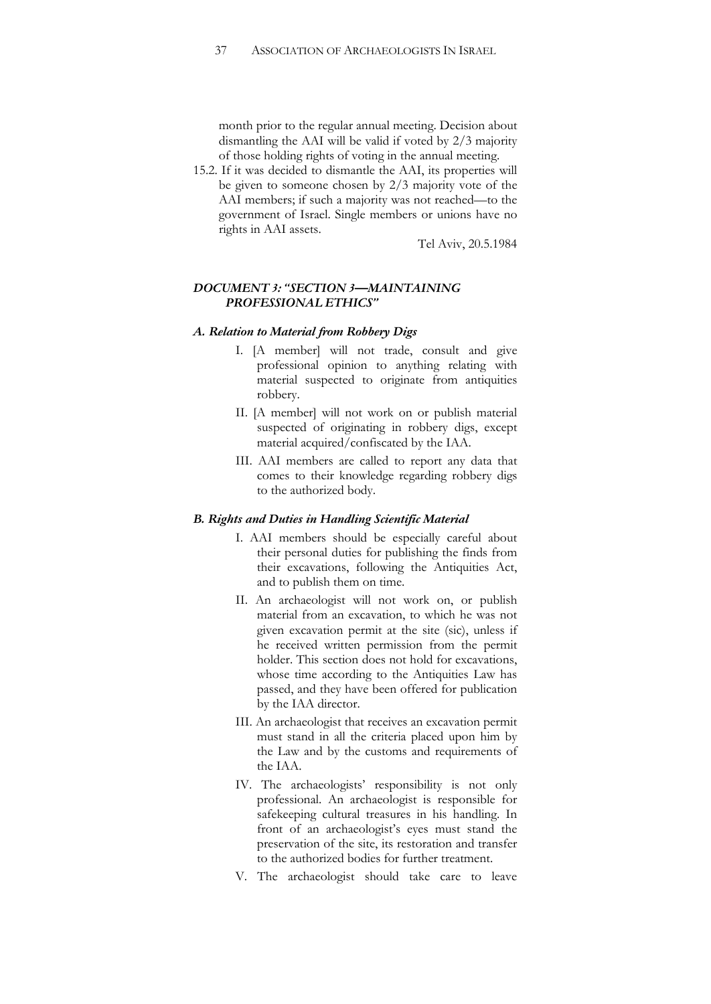month prior to the regular annual meeting. Decision about dismantling the AAI will be valid if voted by 2/3 majority of those holding rights of voting in the annual meeting.

15.2. If it was decided to dismantle the AAI, its properties will be given to someone chosen by 2/3 majority vote of the AAI members; if such a majority was not reached—to the government of Israel. Single members or unions have no rights in AAI assets.

Tel Aviv, 20.5.1984

## *DOCUMENT 3: "SECTION 3—MAINTAINING PROFESSIONAL ETHICS"*

#### *A. Relation to Material from Robbery Digs*

- I. [A member] will not trade, consult and give professional opinion to anything relating with material suspected to originate from antiquities robbery.
- II. [A member] will not work on or publish material suspected of originating in robbery digs, except material acquired/confiscated by the IAA.
- III. AAI members are called to report any data that comes to their knowledge regarding robbery digs to the authorized body.

#### *B. Rights and Duties in Handling Scientific Material*

- I. AAI members should be especially careful about their personal duties for publishing the finds from their excavations, following the Antiquities Act, and to publish them on time.
- II. An archaeologist will not work on, or publish material from an excavation, to which he was not given excavation permit at the site (sic), unless if he received written permission from the permit holder. This section does not hold for excavations, whose time according to the Antiquities Law has passed, and they have been offered for publication by the IAA director.
- III. An archaeologist that receives an excavation permit must stand in all the criteria placed upon him by the Law and by the customs and requirements of the IAA.
- IV. The archaeologists' responsibility is not only professional. An archaeologist is responsible for safekeeping cultural treasures in his handling. In front of an archaeologist's eyes must stand the preservation of the site, its restoration and transfer to the authorized bodies for further treatment.
- V. The archaeologist should take care to leave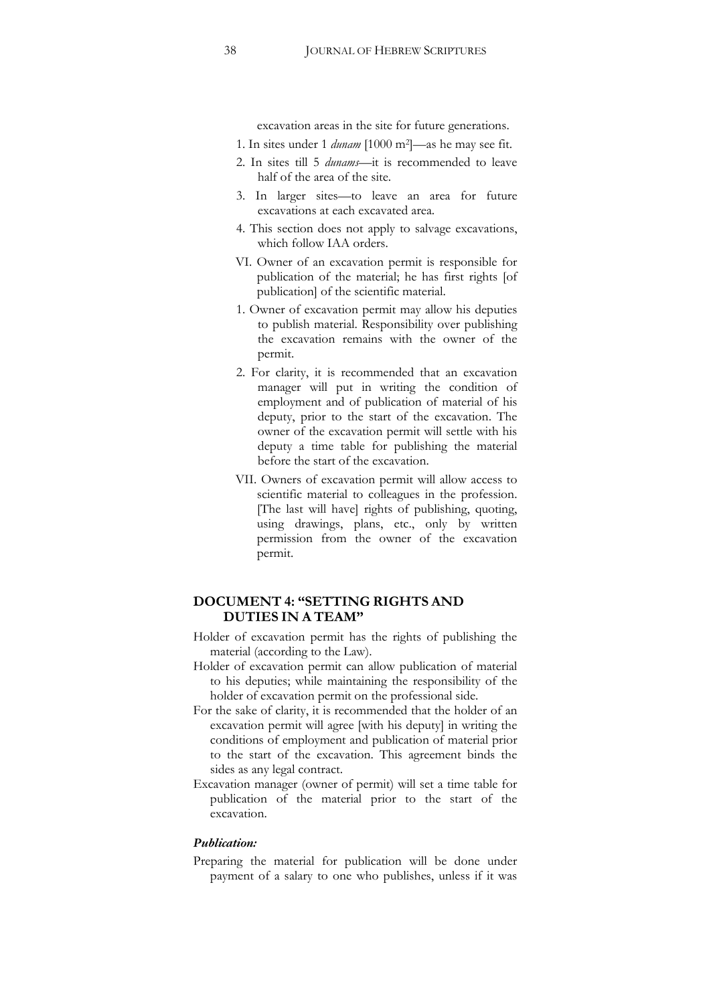excavation areas in the site for future generations.

- 1. In sites under 1 *dunam* [1000 m2]—as he may see fit.
- 2. In sites till 5 *dunams—*it is recommended to leave half of the area of the site.
- 3. In larger sites—to leave an area for future excavations at each excavated area.
- 4. This section does not apply to salvage excavations, which follow IAA orders.
- VI. Owner of an excavation permit is responsible for publication of the material; he has first rights [of publication] of the scientific material.
- 1. Owner of excavation permit may allow his deputies to publish material. Responsibility over publishing the excavation remains with the owner of the permit.
- 2. For clarity, it is recommended that an excavation manager will put in writing the condition of employment and of publication of material of his deputy, prior to the start of the excavation. The owner of the excavation permit will settle with his deputy a time table for publishing the material before the start of the excavation.
- VII. Owners of excavation permit will allow access to scientific material to colleagues in the profession. [The last will have] rights of publishing, quoting, using drawings, plans, etc., only by written permission from the owner of the excavation permit.

## **DOCUMENT 4: "SETTING RIGHTS AND DUTIES IN A TEAM"**

- Holder of excavation permit has the rights of publishing the material (according to the Law).
- Holder of excavation permit can allow publication of material to his deputies; while maintaining the responsibility of the holder of excavation permit on the professional side.
- For the sake of clarity, it is recommended that the holder of an excavation permit will agree [with his deputy] in writing the conditions of employment and publication of material prior to the start of the excavation. This agreement binds the sides as any legal contract.
- Excavation manager (owner of permit) will set a time table for publication of the material prior to the start of the excavation.

#### *Publication:*

Preparing the material for publication will be done under payment of a salary to one who publishes, unless if it was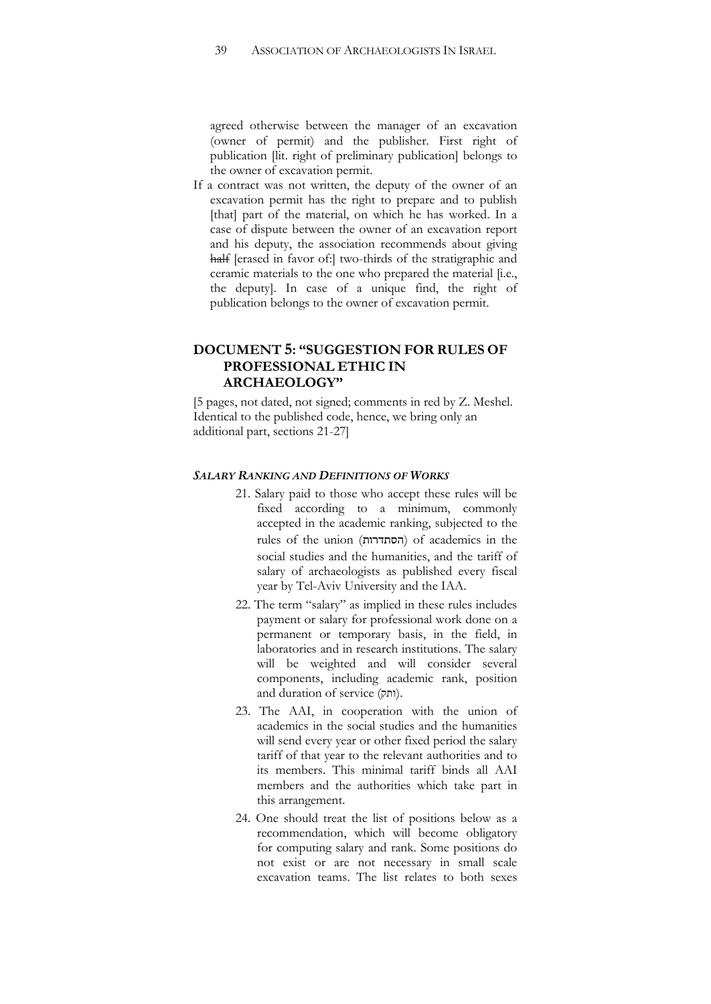agreed otherwise between the manager of an excavation (owner of permit) and the publisher. First right of publication [lit. right of preliminary publication] belongs to the owner of excavation permit.

If a contract was not written, the deputy of the owner of an excavation permit has the right to prepare and to publish [that] part of the material, on which he has worked. In a case of dispute between the owner of an excavation report and his deputy, the association recommends about giving half [erased in favor of:] two-thirds of the stratigraphic and ceramic materials to the one who prepared the material [i.e., the deputy]. In case of a unique find, the right of publication belongs to the owner of excavation permit.

# **DOCUMENT 5: "SUGGESTION FOR RULES OF PROFESSIONAL ETHIC IN ARCHAEOLOGY"**

[5 pages, not dated, not signed; comments in red by Z. Meshel. Identical to the published code, hence, we bring only an additional part, sections 21-27]

#### *SALARY RANKING AND DEFINITIONS OF WORKS*

- 21. Salary paid to those who accept these rules will be fixed according to a minimum, commonly accepted in the academic ranking, subjected to the rules of the union (הסתדרות) of academics in the social studies and the humanities, and the tariff of salary of archaeologists as published every fiscal year by Tel-Aviv University and the IAA.
- 22. The term "salary" as implied in these rules includes payment or salary for professional work done on a permanent or temporary basis, in the field, in laboratories and in research institutions. The salary will be weighted and will consider several components, including academic rank, position and duration of service (ותק).
- 23. The AAI, in cooperation with the union of academics in the social studies and the humanities will send every year or other fixed period the salary tariff of that year to the relevant authorities and to its members. This minimal tariff binds all AAI members and the authorities which take part in this arrangement.
- 24. One should treat the list of positions below as a recommendation, which will become obligatory for computing salary and rank. Some positions do not exist or are not necessary in small scale excavation teams. The list relates to both sexes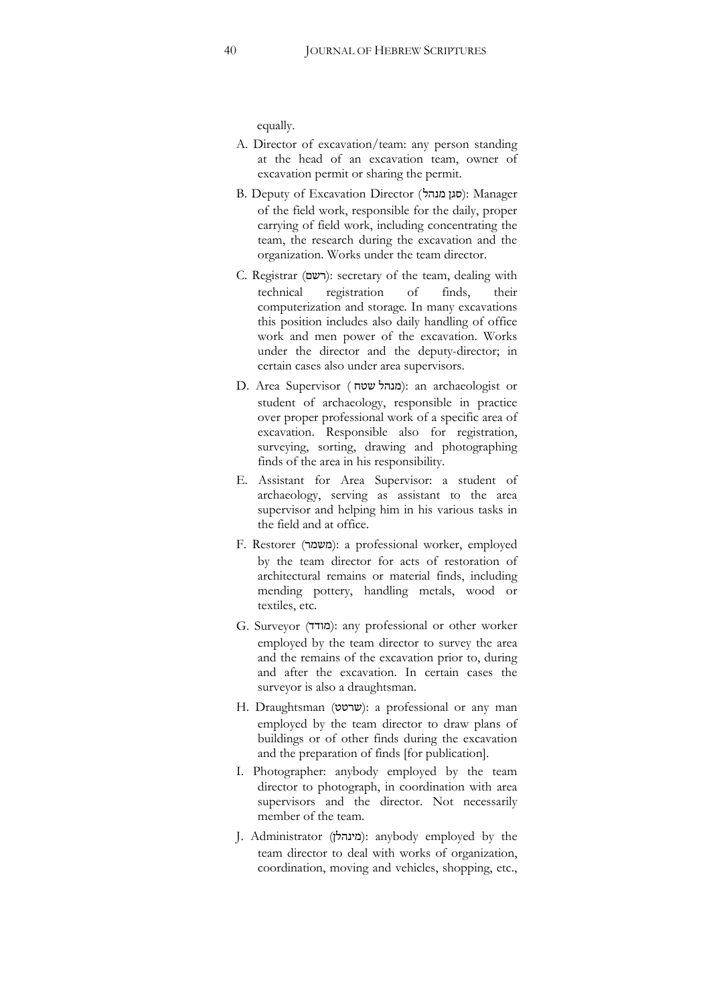equally.

- A. Director of excavation/team: any person standing at the head of an excavation team, owner of excavation permit or sharing the permit.
- B. Deputy of Excavation Director (סגן מנהל): Manager of the field work, responsible for the daily, proper carrying of field work, including concentrating the team, the research during the excavation and the organization. Works under the team director.
- C. Registrar (רשם): secretary of the team, dealing with technical registration of finds, their computerization and storage. In many excavations this position includes also daily handling of office work and men power of the excavation. Works under the director and the deputy-director; in certain cases also under area supervisors.
- D. Area Supervisor (מנהל שטח): an archaeologist or student of archaeology, responsible in practice over proper professional work of a specific area of excavation. Responsible also for registration, surveying, sorting, drawing and photographing finds of the area in his responsibility.
- E. Assistant for Area Supervisor: a student of archaeology, serving as assistant to the area supervisor and helping him in his various tasks in the field and at office.
- F. Restorer (משמר): a professional worker, employed by the team director for acts of restoration of architectural remains or material finds, including mending pottery, handling metals, wood or textiles, etc.
- G. Surveyor (#/): any professional or other worker employed by the team director to survey the area and the remains of the excavation prior to, during and after the excavation. In certain cases the surveyor is also a draughtsman.
- H. Draughtsman (שרטט): a professional or any man employed by the team director to draw plans of buildings or of other finds during the excavation and the preparation of finds [for publication].
- I. Photographer: anybody employed by the team director to photograph, in coordination with area supervisors and the director. Not necessarily member of the team.
- J. Administrator (מינהלן): anybody employed by the team director to deal with works of organization, coordination, moving and vehicles, shopping, etc.,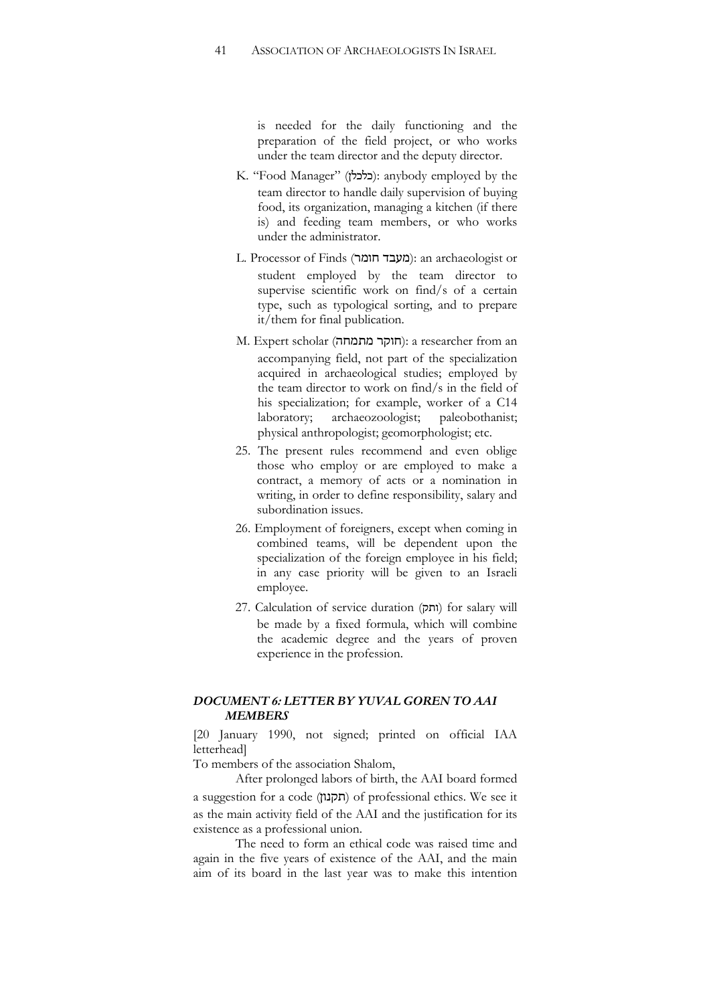is needed for the daily functioning and the preparation of the field project, or who works under the team director and the deputy director.

- K. "Food Manager" (**כלכלן)**: anybody employed by the team director to handle daily supervision of buying food, its organization, managing a kitchen (if there is) and feeding team members, or who works under the administrator.
- L. Processor of Finds (מעבד חומר): an archaeologist or student employed by the team director to supervise scientific work on find/s of a certain type, such as typological sorting, and to prepare it/them for final publication.
- M. Expert scholar (חוקר מתמחה): a researcher from an accompanying field, not part of the specialization acquired in archaeological studies; employed by the team director to work on find/s in the field of his specialization; for example, worker of a C14 laboratory; archaeozoologist; paleobothanist; physical anthropologist; geomorphologist; etc.
- 25. The present rules recommend and even oblige those who employ or are employed to make a contract, a memory of acts or a nomination in writing, in order to define responsibility, salary and subordination issues.
- 26. Employment of foreigners, except when coming in combined teams, will be dependent upon the specialization of the foreign employee in his field; in any case priority will be given to an Israeli employee.
- 27. Calculation of service duration (ותק) for salary will be made by a fixed formula, which will combine the academic degree and the years of proven experience in the profession.

## *DOCUMENT 6: LETTER BY YUVAL GOREN TO AAI MEMBERS*

[20 January 1990, not signed; printed on official IAA letterhead]

To members of the association Shalom,

After prolonged labors of birth, the AAI board formed a suggestion for a code (תקנון) of professional ethics. We see it as the main activity field of the AAI and the justification for its existence as a professional union.

The need to form an ethical code was raised time and again in the five years of existence of the AAI, and the main aim of its board in the last year was to make this intention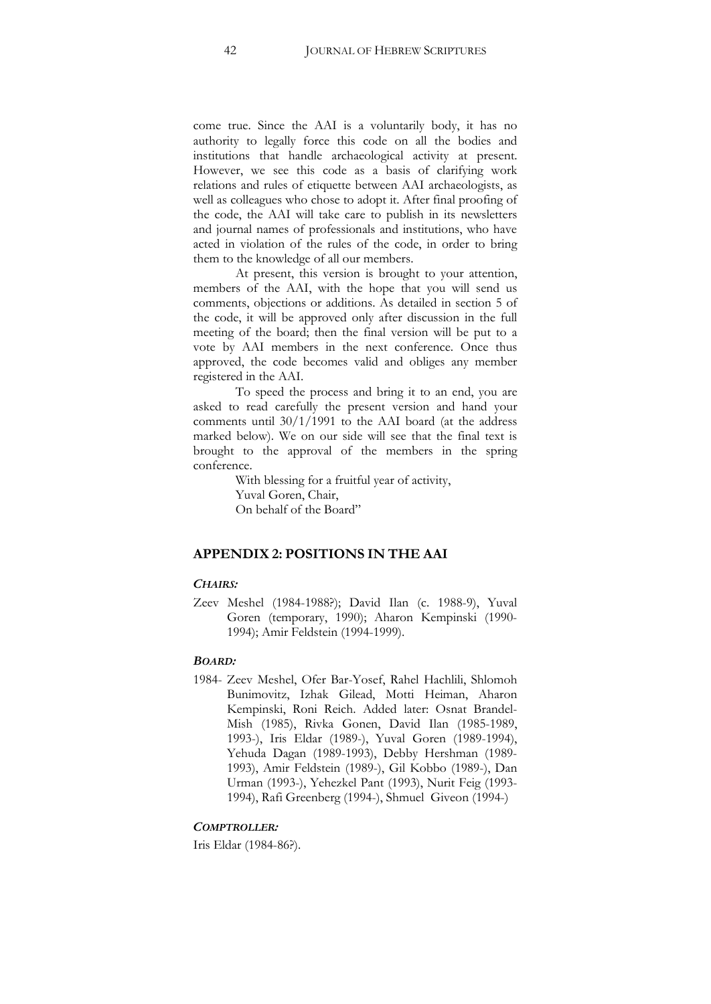come true. Since the AAI is a voluntarily body, it has no authority to legally force this code on all the bodies and institutions that handle archaeological activity at present. However, we see this code as a basis of clarifying work relations and rules of etiquette between AAI archaeologists, as well as colleagues who chose to adopt it. After final proofing of the code, the AAI will take care to publish in its newsletters and journal names of professionals and institutions, who have acted in violation of the rules of the code, in order to bring them to the knowledge of all our members.

At present, this version is brought to your attention, members of the AAI, with the hope that you will send us comments, objections or additions. As detailed in section 5 of the code, it will be approved only after discussion in the full meeting of the board; then the final version will be put to a vote by AAI members in the next conference. Once thus approved, the code becomes valid and obliges any member registered in the AAI.

To speed the process and bring it to an end, you are asked to read carefully the present version and hand your comments until 30/1/1991 to the AAI board (at the address marked below). We on our side will see that the final text is brought to the approval of the members in the spring conference.

> With blessing for a fruitful year of activity, Yuval Goren, Chair, On behalf of the Board"

## **APPENDIX 2: POSITIONS IN THE AAI**

## *CHAIRS:*

Zeev Meshel (1984-1988?); David Ilan (c. 1988-9), Yuval Goren (temporary, 1990); Aharon Kempinski (1990-1994); Amir Feldstein (1994-1999).

#### *BOARD:*

1984- Zeev Meshel, Ofer Bar-Yosef, Rahel Hachlili, Shlomoh Bunimovitz, Izhak Gilead, Motti Heiman, Aharon Kempinski, Roni Reich. Added later: Osnat Brandel-Mish (1985), Rivka Gonen, David Ilan (1985-1989, 1993-), Iris Eldar (1989-), Yuval Goren (1989-1994), Yehuda Dagan (1989-1993), Debby Hershman (1989- 1993), Amir Feldstein (1989-), Gil Kobbo (1989-), Dan Urman (1993-), Yehezkel Pant (1993), Nurit Feig (1993- 1994), Rafi Greenberg (1994-), Shmuel Giveon (1994-)

#### *COMPTROLLER:*

Iris Eldar (1984-86?).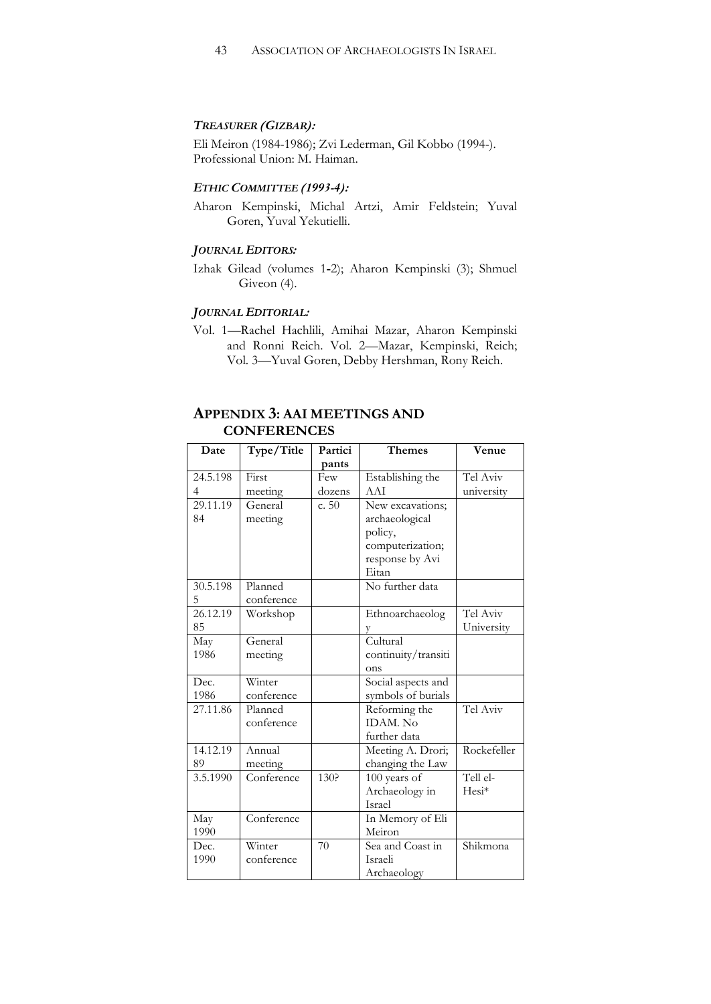## *TREASURER (GIZBAR):*

Eli Meiron (1984-1986); Zvi Lederman, Gil Kobbo (1994-). Professional Union: M. Haiman.

## *ETHIC COMMITTEE (1993-4):*

Aharon Kempinski, Michal Artzi, Amir Feldstein; Yuval Goren, Yuval Yekutielli.

## *JOURNAL EDITORS:*

Izhak Gilead (volumes 1-2); Aharon Kempinski (3); Shmuel Giveon (4).

## *JOURNAL EDITORIAL:*

Vol. 1—Rachel Hachlili, Amihai Mazar, Aharon Kempinski and Ronni Reich. Vol. 2-Mazar, Kempinski, Reich; Vol. 3—Yuval Goren, Debby Hershman, Rony Reich.

## **APPENDIX 3: AAI MEETINGS AND CONFERENCES**

| Date           | Type/Title                     | Partici | <b>Themes</b>       | Venue       |
|----------------|--------------------------------|---------|---------------------|-------------|
|                |                                | pants   |                     |             |
| 24.5.198       | First                          | Few     | Establishing the    | Tel Aviv    |
| $\overline{4}$ | meeting                        | dozens  | AAI                 | university  |
| 29.11.19       | General                        | c. 50   | New excavations;    |             |
| 84             | meeting                        |         | archaeological      |             |
|                |                                |         | policy,             |             |
|                |                                |         | computerization;    |             |
|                |                                |         | response by Avi     |             |
|                |                                |         | Eitan               |             |
| 30.5.198       | Planned                        |         | No further data     |             |
| 5              | conference                     |         |                     |             |
| 26.12.19       | Workshop                       |         | Ethnoarchaeolog     | Tel Aviv    |
| 85             |                                |         |                     | University  |
| May            | General                        |         | Cultural            |             |
| 1986           | meeting                        |         | continuity/transiti |             |
|                |                                |         | ons                 |             |
| Dec.           | Winter                         |         | Social aspects and  |             |
| 1986           | conference                     |         | symbols of burials  |             |
| 27.11.86       | Planned                        |         | Reforming the       | Tel Aviv    |
|                | conference                     |         | <b>IDAM.</b> No     |             |
|                |                                |         | further data        |             |
| 14.12.19       | Annual                         |         | Meeting A. Drori;   | Rockefeller |
| 89             | meeting                        |         | changing the Law    |             |
| 3.5.1990       | Conference                     | 130?    | 100 years of        | Tell el-    |
|                |                                |         | Archaeology in      | Hesi*       |
|                |                                |         | <b>Israel</b>       |             |
| May            | $\overline{\text{Conference}}$ |         | In Memory of Eli    |             |
| 1990           |                                |         | Meiron              |             |
| Dec.           | Winter                         | 70      | Sea and Coast in    | Shikmona    |
| 1990           | conference                     |         | Israeli             |             |
|                |                                |         | Archaeology         |             |